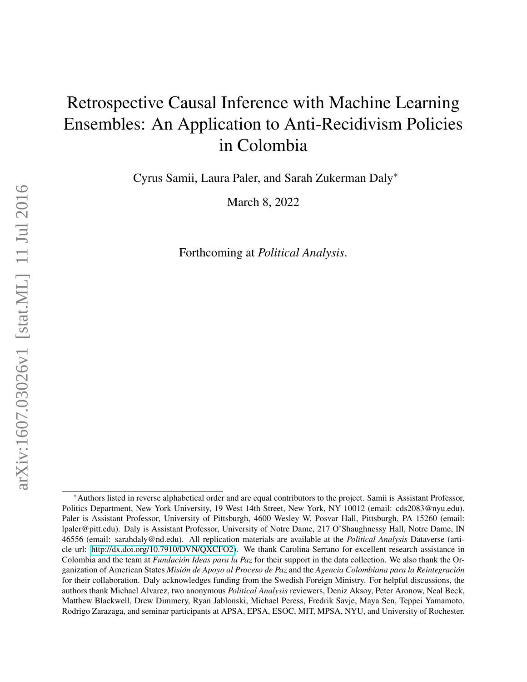# Retrospective Causal Inference with Machine Learning Ensembles: An Application to Anti-Recidivism Policies in Colombia

Cyrus Samii, Laura Paler, and Sarah Zukerman Daly<sup>∗</sup>

March 8, 2022

Forthcoming at *Political Analysis*.

<sup>∗</sup>Authors listed in reverse alphabetical order and are equal contributors to the project. Samii is Assistant Professor, Politics Department, New York University, 19 West 14th Street, New York, NY 10012 (email: cds2083@nyu.edu). Paler is Assistant Professor, University of Pittsburgh, 4600 Wesley W. Posvar Hall, Pittsburgh, PA 15260 (email: lpaler@pitt.edu). Daly is Assistant Professor, University of Notre Dame, 217 O'Shaughnessy Hall, Notre Dame, IN 46556 (email: sarahdaly@nd.edu). All replication materials are available at the *Political Analysis* Dataverse (article url: [http://dx.doi.org/10.7910/DVN/QXCFO2\)](http://dx.doi.org/10.7910/DVN/QXCFO2). We thank Carolina Serrano for excellent research assistance in Colombia and the team at *Fundación Ideas para la Paz* for their support in the data collection. We also thank the Organization of American States *Mision de Apoyo al Proceso de Paz ´* and the *Agencia Colombiana para la Reintegracion´* for their collaboration. Daly acknowledges funding from the Swedish Foreign Ministry. For helpful discussions, the authors thank Michael Alvarez, two anonymous *Political Analysis* reviewers, Deniz Aksoy, Peter Aronow, Neal Beck, Matthew Blackwell, Drew Dimmery, Ryan Jablonski, Michael Peress, Fredrik Savje, Maya Sen, Teppei Yamamoto, Rodrigo Zarazaga, and seminar participants at APSA, EPSA, ESOC, MIT, MPSA, NYU, and University of Rochester.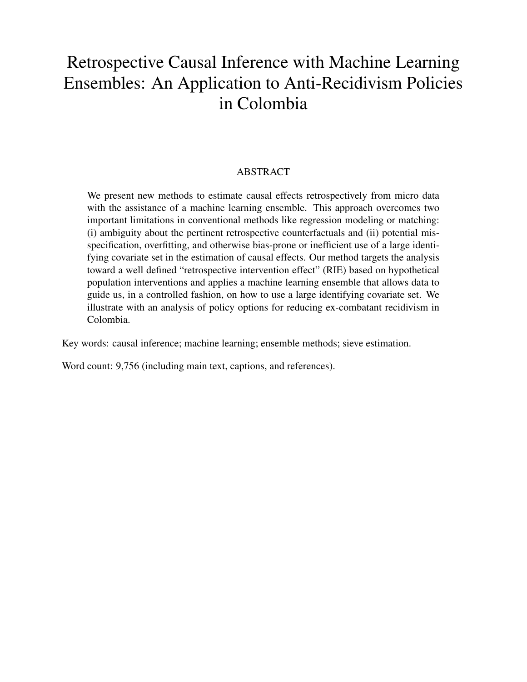# Retrospective Causal Inference with Machine Learning Ensembles: An Application to Anti-Recidivism Policies in Colombia

#### ABSTRACT

We present new methods to estimate causal effects retrospectively from micro data with the assistance of a machine learning ensemble. This approach overcomes two important limitations in conventional methods like regression modeling or matching: (i) ambiguity about the pertinent retrospective counterfactuals and (ii) potential misspecification, overfitting, and otherwise bias-prone or inefficient use of a large identifying covariate set in the estimation of causal effects. Our method targets the analysis toward a well defined "retrospective intervention effect" (RIE) based on hypothetical population interventions and applies a machine learning ensemble that allows data to guide us, in a controlled fashion, on how to use a large identifying covariate set. We illustrate with an analysis of policy options for reducing ex-combatant recidivism in Colombia.

Key words: causal inference; machine learning; ensemble methods; sieve estimation.

Word count: 9,756 (including main text, captions, and references).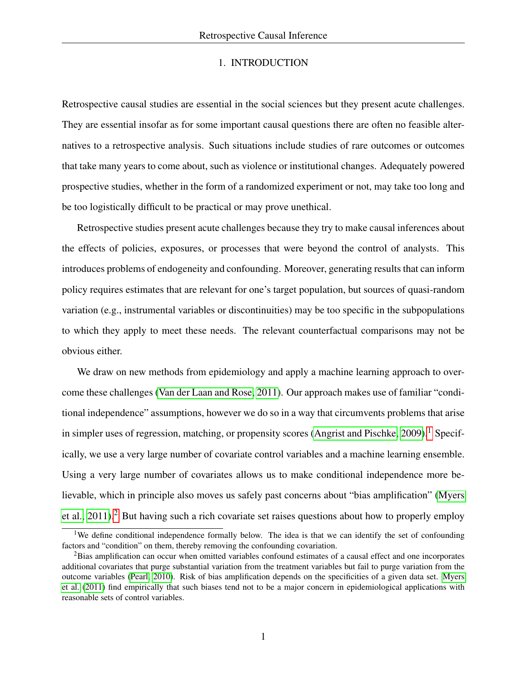#### 1. INTRODUCTION

Retrospective causal studies are essential in the social sciences but they present acute challenges. They are essential insofar as for some important causal questions there are often no feasible alternatives to a retrospective analysis. Such situations include studies of rare outcomes or outcomes that take many years to come about, such as violence or institutional changes. Adequately powered prospective studies, whether in the form of a randomized experiment or not, may take too long and be too logistically difficult to be practical or may prove unethical.

Retrospective studies present acute challenges because they try to make causal inferences about the effects of policies, exposures, or processes that were beyond the control of analysts. This introduces problems of endogeneity and confounding. Moreover, generating results that can inform policy requires estimates that are relevant for one's target population, but sources of quasi-random variation (e.g., instrumental variables or discontinuities) may be too specific in the subpopulations to which they apply to meet these needs. The relevant counterfactual comparisons may not be obvious either.

We draw on new methods from epidemiology and apply a machine learning approach to overcome these challenges [\(Van der Laan and Rose, 2011\)](#page-42-0). Our approach makes use of familiar "conditional independence" assumptions, however we do so in a way that circumvents problems that arise in simpler uses of regression, matching, or propensity scores (Angrist and Pischke,  $2009$ ).<sup>[1](#page-2-0)</sup> Specifically, we use a very large number of covariate control variables and a machine learning ensemble. Using a very large number of covariates allows us to make conditional independence more believable, which in principle also moves us safely past concerns about "bias amplification" [\(Myers](#page-40-0) et al.,  $2011$  $2011$ ).<sup>2</sup> But having such a rich covariate set raises questions about how to properly employ

<span id="page-2-0"></span><sup>&</sup>lt;sup>1</sup>We define conditional independence formally below. The idea is that we can identify the set of confounding factors and "condition" on them, thereby removing the confounding covariation.

<span id="page-2-1"></span><sup>2</sup>Bias amplification can occur when omitted variables confound estimates of a causal effect and one incorporates additional covariates that purge substantial variation from the treatment variables but fail to purge variation from the outcome variables [\(Pearl, 2010\)](#page-41-0). Risk of bias amplification depends on the specificities of a given data set. [Myers](#page-40-0) [et al.](#page-40-0) [\(2011\)](#page-40-0) find empirically that such biases tend not to be a major concern in epidemiological applications with reasonable sets of control variables.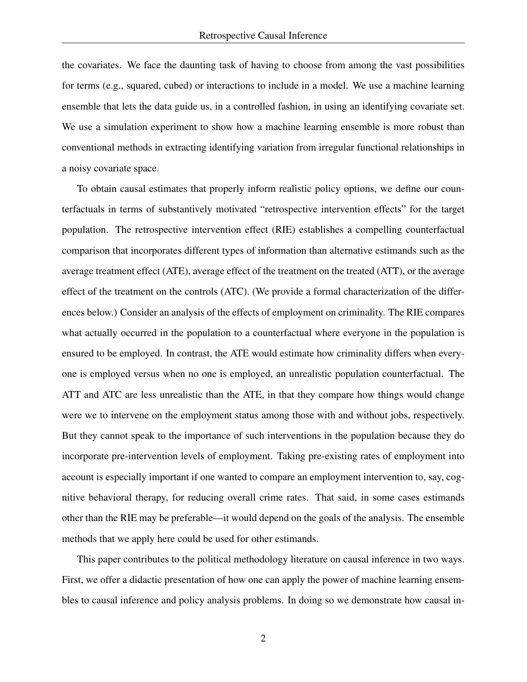the covariates. We face the daunting task of having to choose from among the vast possibilities for terms (e.g., squared, cubed) or interactions to include in a model. We use a machine learning ensemble that lets the data guide us, in a controlled fashion, in using an identifying covariate set. We use a simulation experiment to show how a machine learning ensemble is more robust than conventional methods in extracting identifying variation from irregular functional relationships in a noisy covariate space.

To obtain causal estimates that properly inform realistic policy options, we define our counterfactuals in terms of substantively motivated "retrospective intervention effects" for the target population. The retrospective intervention effect (RIE) establishes a compelling counterfactual comparison that incorporates different types of information than alternative estimands such as the average treatment effect (ATE), average effect of the treatment on the treated (ATT), or the average effect of the treatment on the controls (ATC). (We provide a formal characterization of the differences below.) Consider an analysis of the effects of employment on criminality. The RIE compares what actually occurred in the population to a counterfactual where everyone in the population is ensured to be employed. In contrast, the ATE would estimate how criminality differs when everyone is employed versus when no one is employed, an unrealistic population counterfactual. The ATT and ATC are less unrealistic than the ATE, in that they compare how things would change were we to intervene on the employment status among those with and without jobs, respectively. But they cannot speak to the importance of such interventions in the population because they do incorporate pre-intervention levels of employment. Taking pre-existing rates of employment into account is especially important if one wanted to compare an employment intervention to, say, cognitive behavioral therapy, for reducing overall crime rates. That said, in some cases estimands other than the RIE may be preferable—it would depend on the goals of the analysis. The ensemble methods that we apply here could be used for other estimands.

This paper contributes to the political methodology literature on causal inference in two ways. First, we offer a didactic presentation of how one can apply the power of machine learning ensembles to causal inference and policy analysis problems. In doing so we demonstrate how causal in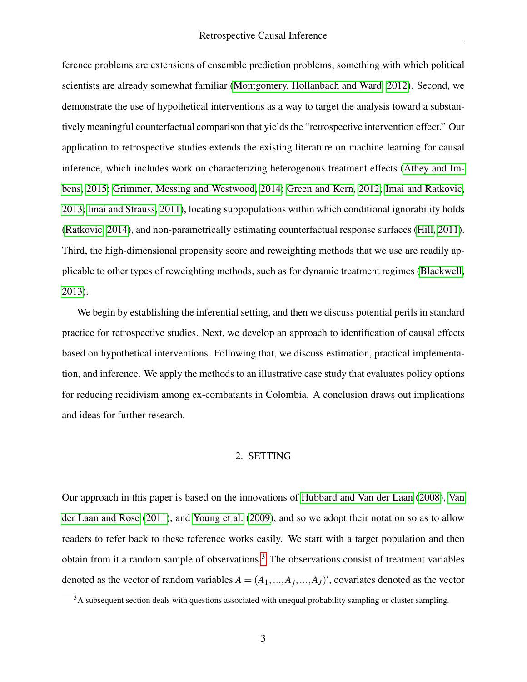ference problems are extensions of ensemble prediction problems, something with which political scientists are already somewhat familiar [\(Montgomery, Hollanbach and Ward, 2012\)](#page-40-1). Second, we demonstrate the use of hypothetical interventions as a way to target the analysis toward a substantively meaningful counterfactual comparison that yields the "retrospective intervention effect." Our application to retrospective studies extends the existing literature on machine learning for causal inference, which includes work on characterizing heterogenous treatment effects [\(Athey and Im](#page-37-1)[bens, 2015;](#page-37-1) [Grimmer, Messing and Westwood, 2014;](#page-38-0) [Green and Kern, 2012;](#page-38-1) [Imai and Ratkovic,](#page-39-0) [2013;](#page-39-0) [Imai and Strauss, 2011\)](#page-39-1), locating subpopulations within which conditional ignorability holds [\(Ratkovic, 2014\)](#page-41-1), and non-parametrically estimating counterfactual response surfaces [\(Hill, 2011\)](#page-39-2). Third, the high-dimensional propensity score and reweighting methods that we use are readily applicable to other types of reweighting methods, such as for dynamic treatment regimes [\(Blackwell,](#page-37-2) [2013\)](#page-37-2).

We begin by establishing the inferential setting, and then we discuss potential perils in standard practice for retrospective studies. Next, we develop an approach to identification of causal effects based on hypothetical interventions. Following that, we discuss estimation, practical implementation, and inference. We apply the methods to an illustrative case study that evaluates policy options for reducing recidivism among ex-combatants in Colombia. A conclusion draws out implications and ideas for further research.

#### 2. SETTING

Our approach in this paper is based on the innovations of [Hubbard and Van der Laan](#page-39-3) [\(2008\)](#page-39-3), [Van](#page-42-0) [der Laan and Rose](#page-42-0) [\(2011\)](#page-42-0), and [Young et al.](#page-42-1) [\(2009\)](#page-42-1), and so we adopt their notation so as to allow readers to refer back to these reference works easily. We start with a target population and then obtain from it a random sample of observations.[3](#page-4-0) The observations consist of treatment variables denoted as the vector of random variables  $A = (A_1, ..., A_j, ..., A_J)'$ , covariates denoted as the vector

<span id="page-4-0"></span><sup>&</sup>lt;sup>3</sup>A subsequent section deals with questions associated with unequal probability sampling or cluster sampling.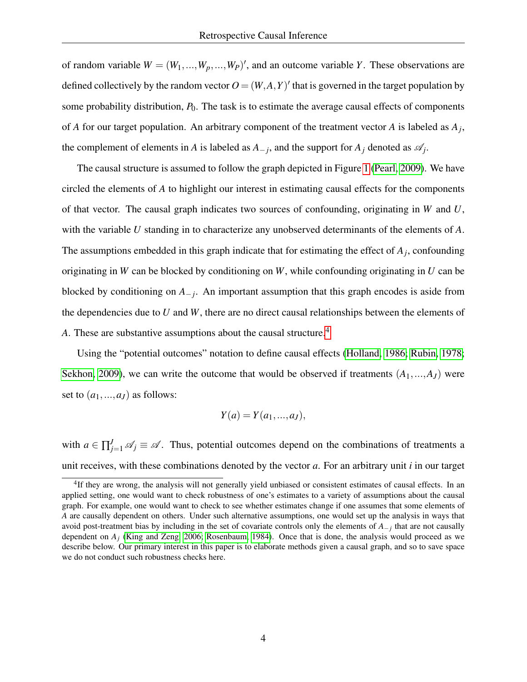of random variable  $W = (W_1, ..., W_p, ..., W_p)'$ , and an outcome variable *Y*. These observations are defined collectively by the random vector  $O = (W, A, Y)'$  that is governed in the target population by some probability distribution,  $P_0$ . The task is to estimate the average causal effects of components of *A* for our target population. An arbitrary component of the treatment vector *A* is labeled as *A<sup>j</sup>* , the complement of elements in *A* is labeled as  $A_{-j}$ , and the support for  $A_j$  denoted as  $\mathscr{A}_j$ .

The causal structure is assumed to follow the graph depicted in Figure [1](#page-6-0) [\(Pearl, 2009\)](#page-40-2). We have circled the elements of *A* to highlight our interest in estimating causal effects for the components of that vector. The causal graph indicates two sources of confounding, originating in *W* and *U*, with the variable *U* standing in to characterize any unobserved determinants of the elements of *A*. The assumptions embedded in this graph indicate that for estimating the effect of *A<sup>j</sup>* , confounding originating in *W* can be blocked by conditioning on *W*, while confounding originating in *U* can be blocked by conditioning on *A*−*<sup>j</sup>* . An important assumption that this graph encodes is aside from the dependencies due to *U* and *W*, there are no direct causal relationships between the elements of *A*. These are substantive assumptions about the causal structure.[4](#page-5-0)

Using the "potential outcomes" notation to define causal effects [\(Holland, 1986;](#page-39-4) [Rubin, 1978;](#page-42-2) [Sekhon, 2009\)](#page-42-3), we can write the outcome that would be observed if treatments  $(A_1,...,A_J)$  were set to  $(a_1, \ldots, a_J)$  as follows:

$$
Y(a) = Y(a_1, \ldots, a_J),
$$

with  $a \in \prod_{j=1}^{J} \mathscr{A}_j \equiv \mathscr{A}$ . Thus, potential outcomes depend on the combinations of treatments a unit receives, with these combinations denoted by the vector *a*. For an arbitrary unit *i* in our target

<span id="page-5-0"></span><sup>&</sup>lt;sup>4</sup>If they are wrong, the analysis will not generally yield unbiased or consistent estimates of causal effects. In an applied setting, one would want to check robustness of one's estimates to a variety of assumptions about the causal graph. For example, one would want to check to see whether estimates change if one assumes that some elements of *A* are causally dependent on others. Under such alternative assumptions, one would set up the analysis in ways that avoid post-treatment bias by including in the set of covariate controls only the elements of *A*−*<sup>j</sup>* that are not causally dependent on *A<sup>j</sup>* [\(King and Zeng, 2006;](#page-40-3) [Rosenbaum, 1984\)](#page-41-2). Once that is done, the analysis would proceed as we describe below. Our primary interest in this paper is to elaborate methods given a causal graph, and so to save space we do not conduct such robustness checks here.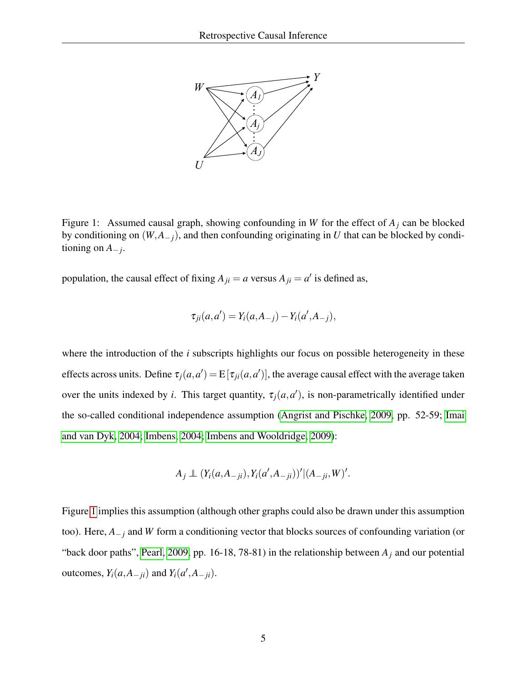

<span id="page-6-0"></span>Figure 1: Assumed causal graph, showing confounding in *W* for the effect of *A<sup>j</sup>* can be blocked by conditioning on  $(W, A<sub>-j</sub>)$ , and then confounding originating in *U* that can be blocked by conditioning on *A*−*<sup>j</sup>* .

population, the causal effect of fixing  $A_{ji} = a$  versus  $A_{ji} = a'$  is defined as,

$$
\tau_{ji}(a,a') = Y_i(a,A_{-j}) - Y_i(a',A_{-j}),
$$

where the introduction of the *i* subscripts highlights our focus on possible heterogeneity in these effects across units. Define  $\tau_j(a, a') = E[\tau_{ji}(a, a')]$ , the average causal effect with the average taken over the units indexed by *i*. This target quantity,  $\tau_j(a, a')$ , is non-parametrically identified under the so-called conditional independence assumption [\(Angrist and Pischke, 2009,](#page-37-0) pp. 52-59; [Imai](#page-39-5) [and van Dyk, 2004;](#page-39-5) [Imbens, 2004;](#page-39-6) [Imbens and Wooldridge, 2009\)](#page-39-7):

$$
A_j \perp (Y_i(a, A_{-ji}), Y_i(a', A_{-ji}))' | (A_{-ji}, W)'
$$
.

Figure [1](#page-6-0) implies this assumption (although other graphs could also be drawn under this assumption too). Here, *A*−*<sup>j</sup>* and *W* form a conditioning vector that blocks sources of confounding variation (or "back door paths", [Pearl, 2009,](#page-40-2) pp. 16-18, 78-81) in the relationship between *A<sup>j</sup>* and our potential outcomes,  $Y_i(a, A_{-ji})$  and  $Y_i(a', A_{-ji})$ .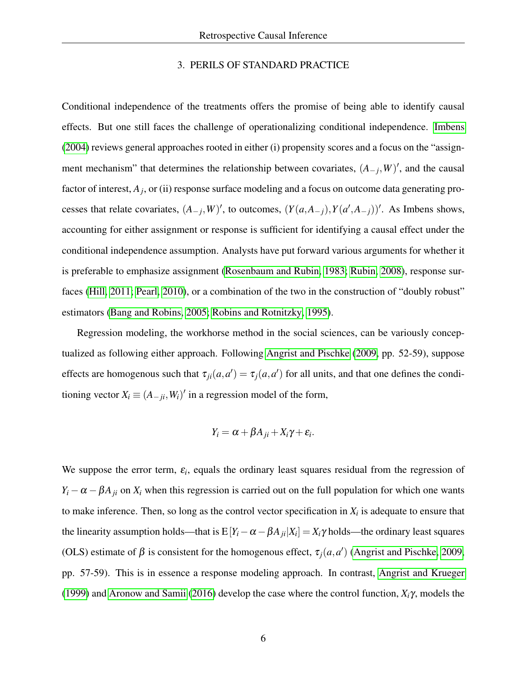#### 3. PERILS OF STANDARD PRACTICE

Conditional independence of the treatments offers the promise of being able to identify causal effects. But one still faces the challenge of operationalizing conditional independence. [Imbens](#page-39-6) [\(2004\)](#page-39-6) reviews general approaches rooted in either (i) propensity scores and a focus on the "assignment mechanism" that determines the relationship between covariates,  $(A_{-j}, W)'$ , and the causal factor of interest,  $A_j$ , or (ii) response surface modeling and a focus on outcome data generating processes that relate covariates,  $(A_{-j}, W)'$ , to outcomes,  $(Y(a, A_{-j}), Y(a', A_{-j}))'$ . As Imbens shows, accounting for either assignment or response is sufficient for identifying a causal effect under the conditional independence assumption. Analysts have put forward various arguments for whether it is preferable to emphasize assignment [\(Rosenbaum and Rubin, 1983;](#page-41-3) [Rubin, 2008\)](#page-42-4), response surfaces [\(Hill, 2011;](#page-39-2) [Pearl, 2010\)](#page-41-0), or a combination of the two in the construction of "doubly robust" estimators [\(Bang and Robins, 2005;](#page-37-3) [Robins and Rotnitzky, 1995\)](#page-41-4).

Regression modeling, the workhorse method in the social sciences, can be variously conceptualized as following either approach. Following [Angrist and Pischke](#page-37-0) [\(2009,](#page-37-0) pp. 52-59), suppose effects are homogenous such that  $\tau_{ji}(a, a') = \tau_j(a, a')$  for all units, and that one defines the conditioning vector  $X_i \equiv (A_{-ji}, W_i)'$  in a regression model of the form,

$$
Y_i = \alpha + \beta A_{ji} + X_i \gamma + \varepsilon_i.
$$

We suppose the error term,  $\varepsilon$ <sub>*i*</sub>, equals the ordinary least squares residual from the regression of  $Y_i - \alpha - \beta A_{ji}$  on  $X_i$  when this regression is carried out on the full population for which one wants to make inference. Then, so long as the control vector specification in  $X_i$  is adequate to ensure that the linearity assumption holds—that is  $E[Y_i-\alpha-\beta A_{ji}|X_i]=X_i\gamma$  holds—the ordinary least squares (OLS) estimate of  $\beta$  is consistent for the homogenous effect,  $\tau_j(a, a')$  [\(Angrist and Pischke, 2009,](#page-37-0) pp. 57-59). This is in essence a response modeling approach. In contrast, [Angrist and Krueger](#page-37-4) [\(1999\)](#page-37-4) and [Aronow and Samii](#page-37-5) [\(2016\)](#page-37-5) develop the case where the control function,  $X_i \gamma$ , models the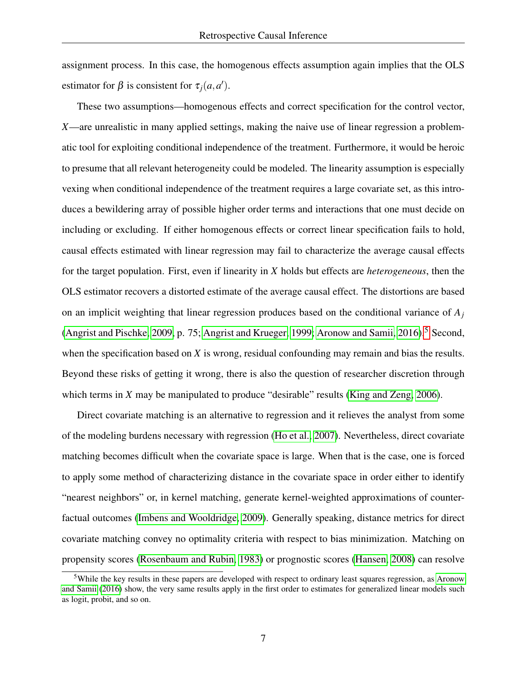assignment process. In this case, the homogenous effects assumption again implies that the OLS estimator for  $\beta$  is consistent for  $\tau_j(a, a')$ .

These two assumptions—homogenous effects and correct specification for the control vector, *X*—are unrealistic in many applied settings, making the naive use of linear regression a problematic tool for exploiting conditional independence of the treatment. Furthermore, it would be heroic to presume that all relevant heterogeneity could be modeled. The linearity assumption is especially vexing when conditional independence of the treatment requires a large covariate set, as this introduces a bewildering array of possible higher order terms and interactions that one must decide on including or excluding. If either homogenous effects or correct linear specification fails to hold, causal effects estimated with linear regression may fail to characterize the average causal effects for the target population. First, even if linearity in *X* holds but effects are *heterogeneous*, then the OLS estimator recovers a distorted estimate of the average causal effect. The distortions are based on an implicit weighting that linear regression produces based on the conditional variance of *A<sup>j</sup>* [\(Angrist and Pischke, 2009,](#page-37-0) p. 75; [Angrist and Krueger, 1999;](#page-37-4) [Aronow and Samii, 2016\)](#page-37-5).<sup>[5](#page-8-0)</sup> Second, when the specification based on *X* is wrong, residual confounding may remain and bias the results. Beyond these risks of getting it wrong, there is also the question of researcher discretion through which terms in *X* may be manipulated to produce "desirable" results [\(King and Zeng, 2006\)](#page-40-3).

Direct covariate matching is an alternative to regression and it relieves the analyst from some of the modeling burdens necessary with regression [\(Ho et al., 2007\)](#page-39-8). Nevertheless, direct covariate matching becomes difficult when the covariate space is large. When that is the case, one is forced to apply some method of characterizing distance in the covariate space in order either to identify "nearest neighbors" or, in kernel matching, generate kernel-weighted approximations of counterfactual outcomes [\(Imbens and Wooldridge, 2009\)](#page-39-7). Generally speaking, distance metrics for direct covariate matching convey no optimality criteria with respect to bias minimization. Matching on propensity scores [\(Rosenbaum and Rubin, 1983\)](#page-41-3) or prognostic scores [\(Hansen, 2008\)](#page-38-2) can resolve

<span id="page-8-0"></span><sup>&</sup>lt;sup>5</sup>While the key results in these papers are developed with respect to ordinary least squares regression, as [Aronow](#page-37-5) [and Samii](#page-37-5) [\(2016\)](#page-37-5) show, the very same results apply in the first order to estimates for generalized linear models such as logit, probit, and so on.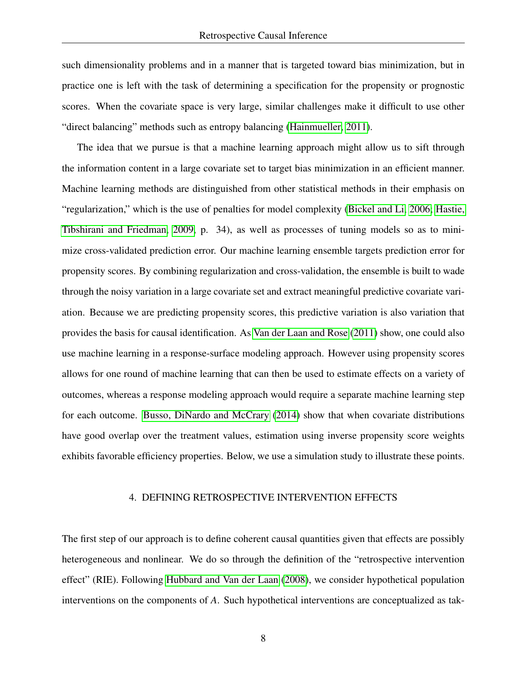such dimensionality problems and in a manner that is targeted toward bias minimization, but in practice one is left with the task of determining a specification for the propensity or prognostic scores. When the covariate space is very large, similar challenges make it difficult to use other "direct balancing" methods such as entropy balancing [\(Hainmueller, 2011\)](#page-38-3).

The idea that we pursue is that a machine learning approach might allow us to sift through the information content in a large covariate set to target bias minimization in an efficient manner. Machine learning methods are distinguished from other statistical methods in their emphasis on "regularization," which is the use of penalties for model complexity [\(Bickel and Li, 2006;](#page-37-6) [Hastie,](#page-39-9) [Tibshirani and Friedman, 2009,](#page-39-9) p. 34), as well as processes of tuning models so as to minimize cross-validated prediction error. Our machine learning ensemble targets prediction error for propensity scores. By combining regularization and cross-validation, the ensemble is built to wade through the noisy variation in a large covariate set and extract meaningful predictive covariate variation. Because we are predicting propensity scores, this predictive variation is also variation that provides the basis for causal identification. As [Van der Laan and Rose](#page-42-0) [\(2011\)](#page-42-0) show, one could also use machine learning in a response-surface modeling approach. However using propensity scores allows for one round of machine learning that can then be used to estimate effects on a variety of outcomes, whereas a response modeling approach would require a separate machine learning step for each outcome. [Busso, DiNardo and McCrary](#page-37-7) [\(2014\)](#page-37-7) show that when covariate distributions have good overlap over the treatment values, estimation using inverse propensity score weights exhibits favorable efficiency properties. Below, we use a simulation study to illustrate these points.

#### 4. DEFINING RETROSPECTIVE INTERVENTION EFFECTS

The first step of our approach is to define coherent causal quantities given that effects are possibly heterogeneous and nonlinear. We do so through the definition of the "retrospective intervention effect" (RIE). Following [Hubbard and Van der Laan](#page-39-3) [\(2008\)](#page-39-3), we consider hypothetical population interventions on the components of *A*. Such hypothetical interventions are conceptualized as tak-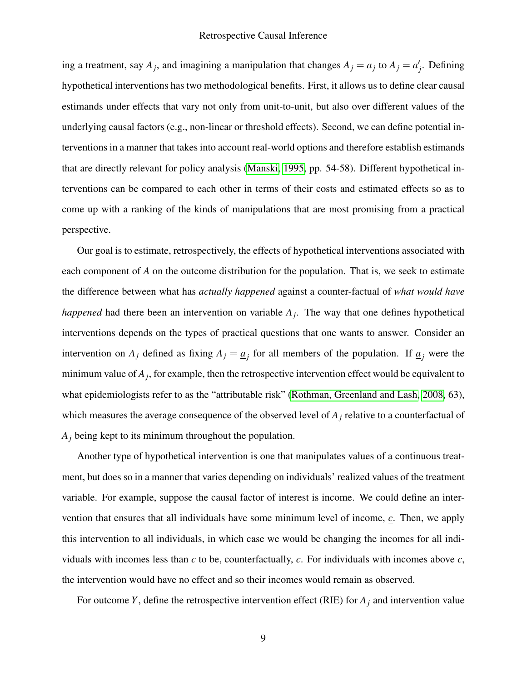ing a treatment, say  $A_j$ , and imagining a manipulation that changes  $A_j = a_j$  to  $A_j = a'_j$ . Defining hypothetical interventions has two methodological benefits. First, it allows us to define clear causal estimands under effects that vary not only from unit-to-unit, but also over different values of the underlying causal factors (e.g., non-linear or threshold effects). Second, we can define potential interventions in a manner that takes into account real-world options and therefore establish estimands that are directly relevant for policy analysis [\(Manski, 1995,](#page-40-4) pp. 54-58). Different hypothetical interventions can be compared to each other in terms of their costs and estimated effects so as to come up with a ranking of the kinds of manipulations that are most promising from a practical perspective.

Our goal is to estimate, retrospectively, the effects of hypothetical interventions associated with each component of *A* on the outcome distribution for the population. That is, we seek to estimate the difference between what has *actually happened* against a counter-factual of *what would have happened* had there been an intervention on variable *A<sup>j</sup>* . The way that one defines hypothetical interventions depends on the types of practical questions that one wants to answer. Consider an intervention on  $A_j$  defined as fixing  $A_j = \underline{a_j}$  for all members of the population. If  $\underline{a_j}$  were the minimum value of *A<sup>j</sup>* , for example, then the retrospective intervention effect would be equivalent to what epidemiologists refer to as the "attributable risk" [\(Rothman, Greenland and Lash, 2008,](#page-41-5) 63), which measures the average consequence of the observed level of *A<sup>j</sup>* relative to a counterfactual of *A<sup>j</sup>* being kept to its minimum throughout the population.

Another type of hypothetical intervention is one that manipulates values of a continuous treatment, but does so in a manner that varies depending on individuals' realized values of the treatment variable. For example, suppose the causal factor of interest is income. We could define an intervention that ensures that all individuals have some minimum level of income, *c*. Then, we apply this intervention to all individuals, in which case we would be changing the incomes for all individuals with incomes less than *c* to be, counterfactually, *c*. For individuals with incomes above *c*, the intervention would have no effect and so their incomes would remain as observed.

For outcome *Y*, define the retrospective intervention effect (RIE) for *A<sup>j</sup>* and intervention value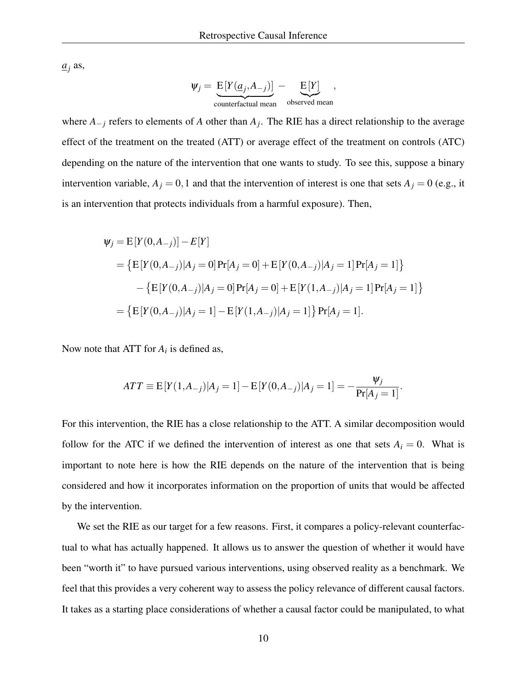$a_j$  as,

$$
\psi_j = \underbrace{E[Y(\underline{a}_j, A_{-j})]}_{\text{counterfactual mean}} - \underbrace{E[Y]}_{\text{observed mean}},
$$

where *A*−*<sup>j</sup>* refers to elements of *A* other than *A<sup>j</sup>* . The RIE has a direct relationship to the average effect of the treatment on the treated (ATT) or average effect of the treatment on controls (ATC) depending on the nature of the intervention that one wants to study. To see this, suppose a binary intervention variable,  $A_j = 0, 1$  and that the intervention of interest is one that sets  $A_j = 0$  (e.g., it is an intervention that protects individuals from a harmful exposure). Then,

$$
\Psi_j = E[Y(0, A_{-j})] - E[Y]
$$
  
= {E[Y(0, A\_{-j})|A\_j = 0] Pr[A\_j = 0] + E[Y(0, A\_{-j})|A\_j = 1] Pr[A\_j = 1]}  
- {E[Y(0, A\_{-j})|A\_j = 0] Pr[A\_j = 0] + E[Y(1, A\_{-j})|A\_j = 1] Pr[A\_j = 1]}  
= {E[Y(0, A\_{-j})|A\_j = 1] - E[Y(1, A\_{-j})|A\_j = 1]} Pr[A\_j = 1].

Now note that ATT for  $A_i$  is defined as,

$$
ATT \equiv E[Y(1, A_{-j})|A_j = 1] - E[Y(0, A_{-j})|A_j = 1] = -\frac{\Psi_j}{\Pr[A_j = 1]}.
$$

For this intervention, the RIE has a close relationship to the ATT. A similar decomposition would follow for the ATC if we defined the intervention of interest as one that sets  $A_i = 0$ . What is important to note here is how the RIE depends on the nature of the intervention that is being considered and how it incorporates information on the proportion of units that would be affected by the intervention.

We set the RIE as our target for a few reasons. First, it compares a policy-relevant counterfactual to what has actually happened. It allows us to answer the question of whether it would have been "worth it" to have pursued various interventions, using observed reality as a benchmark. We feel that this provides a very coherent way to assess the policy relevance of different causal factors. It takes as a starting place considerations of whether a causal factor could be manipulated, to what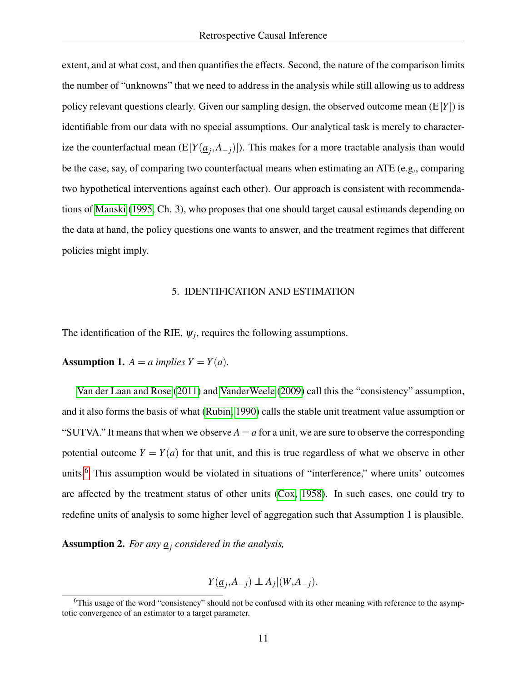extent, and at what cost, and then quantifies the effects. Second, the nature of the comparison limits the number of "unknowns" that we need to address in the analysis while still allowing us to address policy relevant questions clearly. Given our sampling design, the observed outcome mean  $(E[Y])$  is identifiable from our data with no special assumptions. Our analytical task is merely to characterize the counterfactual mean  $(E[Y(\underline{a}_j, A_{-j})])$ . This makes for a more tractable analysis than would be the case, say, of comparing two counterfactual means when estimating an ATE (e.g., comparing two hypothetical interventions against each other). Our approach is consistent with recommendations of [Manski](#page-40-4) [\(1995,](#page-40-4) Ch. 3), who proposes that one should target causal estimands depending on the data at hand, the policy questions one wants to answer, and the treatment regimes that different policies might imply.

#### 5. IDENTIFICATION AND ESTIMATION

The identification of the RIE,  $\psi_j$ , requires the following assumptions.

#### Assumption 1.  $A = a$  implies  $Y = Y(a)$ .

[Van der Laan and Rose](#page-42-0) [\(2011\)](#page-42-0) and [VanderWeele](#page-42-5) [\(2009\)](#page-42-5) call this the "consistency" assumption, and it also forms the basis of what [\(Rubin, 1990\)](#page-42-6) calls the stable unit treatment value assumption or "SUTVA." It means that when we observe  $A = a$  for a unit, we are sure to observe the corresponding potential outcome  $Y = Y(a)$  for that unit, and this is true regardless of what we observe in other units.<sup>[6](#page-12-0)</sup> This assumption would be violated in situations of "interference," where units' outcomes are affected by the treatment status of other units [\(Cox, 1958\)](#page-38-4). In such cases, one could try to redefine units of analysis to some higher level of aggregation such that Assumption 1 is plausible.

Assumption 2. *For any a<sup>j</sup> considered in the analysis,*

$$
Y(\underline{a}_j, A_{-j}) \perp A_j | (W, A_{-j}).
$$

<span id="page-12-0"></span><sup>6</sup>This usage of the word "consistency" should not be confused with its other meaning with reference to the asymptotic convergence of an estimator to a target parameter.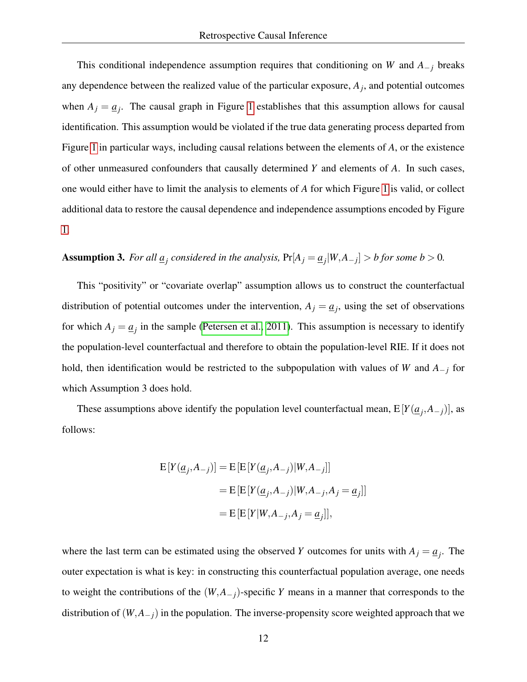This conditional independence assumption requires that conditioning on *W* and *A*−*<sup>j</sup>* breaks any dependence between the realized value of the particular exposure, *A<sup>j</sup>* , and potential outcomes when  $A_j = \underline{a}_j$ . The causal graph in Figure [1](#page-6-0) establishes that this assumption allows for causal identification. This assumption would be violated if the true data generating process departed from Figure [1](#page-6-0) in particular ways, including causal relations between the elements of *A*, or the existence of other unmeasured confounders that causally determined *Y* and elements of *A*. In such cases, one would either have to limit the analysis to elements of *A* for which Figure [1](#page-6-0) is valid, or collect additional data to restore the causal dependence and independence assumptions encoded by Figure [1.](#page-6-0)

Assumption 3. For all  $\underline{a}_j$  considered in the analysis,  $Pr[A_j = \underline{a}_j | W, A_{-j}] > b$  for some  $b > 0$ .

This "positivity" or "covariate overlap" assumption allows us to construct the counterfactual distribution of potential outcomes under the intervention,  $A_j = \underline{a}_j$ , using the set of observations for which  $A_j = \underline{a}_j$  in the sample [\(Petersen et al., 2011\)](#page-41-6). This assumption is necessary to identify the population-level counterfactual and therefore to obtain the population-level RIE. If it does not hold, then identification would be restricted to the subpopulation with values of *W* and *A*−*<sup>j</sup>* for which Assumption 3 does hold.

These assumptions above identify the population level counterfactual mean,  $E[Y(\underline{a}_j, A_{-j})]$ , as follows:

$$
E[Y(\underline{a}_j, A_{-j})] = E[E[Y(\underline{a}_j, A_{-j})|W, A_{-j}]]
$$
  

$$
= E[E[Y(\underline{a}_j, A_{-j})|W, A_{-j}, A_j = \underline{a}_j]]
$$
  

$$
= E[E[Y|W, A_{-j}, A_j = \underline{a}_j]],
$$

where the last term can be estimated using the observed *Y* outcomes for units with  $A_j = \underline{a}_j$ . The outer expectation is what is key: in constructing this counterfactual population average, one needs to weight the contributions of the (*W*,*A*−*j*)-specific *Y* means in a manner that corresponds to the distribution of  $(W, A<sub>-j</sub>)$  in the population. The inverse-propensity score weighted approach that we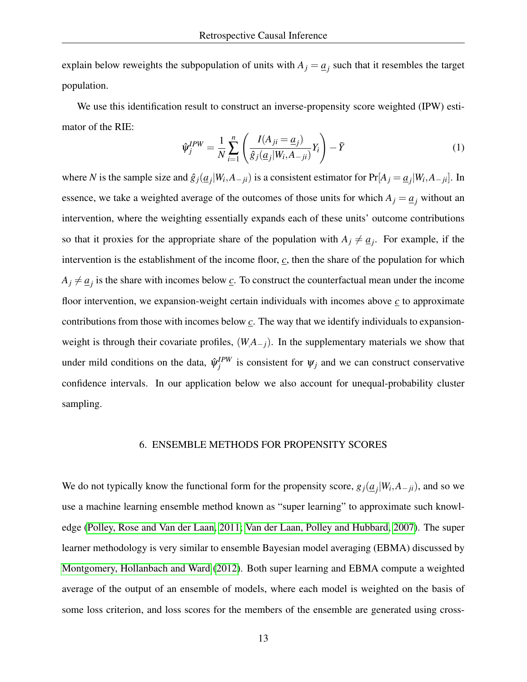explain below reweights the subpopulation of units with  $A_j = a_j$  such that it resembles the target population.

We use this identification result to construct an inverse-propensity score weighted (IPW) estimator of the RIE:

$$
\hat{\psi}_j^{IPW} = \frac{1}{N} \sum_{i=1}^n \left( \frac{I(A_{ji} = a_j)}{\hat{g}_j(a_j|W_i, A_{-ji})} Y_i \right) - \bar{Y}
$$
\n(1)

where *N* is the sample size and  $\hat{g}_j(\underline{a}_j|W_i, A_{-ji})$  is a consistent estimator for  $Pr[A_j = \underline{a}_j|W_i, A_{-ji}]$ . In essence, we take a weighted average of the outcomes of those units for which  $A_j = a_j$  without an intervention, where the weighting essentially expands each of these units' outcome contributions so that it proxies for the appropriate share of the population with  $A_j \neq \underline{a_j}$ . For example, if the intervention is the establishment of the income floor,  $c$ , then the share of the population for which  $A_j \neq \underline{a_j}$  is the share with incomes below  $\underline{c}$ . To construct the counterfactual mean under the income floor intervention, we expansion-weight certain individuals with incomes above *c* to approximate contributions from those with incomes below *c*. The way that we identify individuals to expansionweight is through their covariate profiles,  $(W_{A_i})$ . In the supplementary materials we show that under mild conditions on the data,  $\hat{\psi}_j^{IPW}$  is consistent for  $\psi_j$  and we can construct conservative confidence intervals. In our application below we also account for unequal-probability cluster sampling.

#### 6. ENSEMBLE METHODS FOR PROPENSITY SCORES

We do not typically know the functional form for the propensity score,  $g_j(\underline{a}_j|W_i, A_{-ji})$ , and so we use a machine learning ensemble method known as "super learning" to approximate such knowledge [\(Polley, Rose and Van der Laan, 2011;](#page-41-7) [Van der Laan, Polley and Hubbard, 2007\)](#page-42-7). The super learner methodology is very similar to ensemble Bayesian model averaging (EBMA) discussed by [Montgomery, Hollanbach and Ward](#page-40-1) [\(2012\)](#page-40-1). Both super learning and EBMA compute a weighted average of the output of an ensemble of models, where each model is weighted on the basis of some loss criterion, and loss scores for the members of the ensemble are generated using cross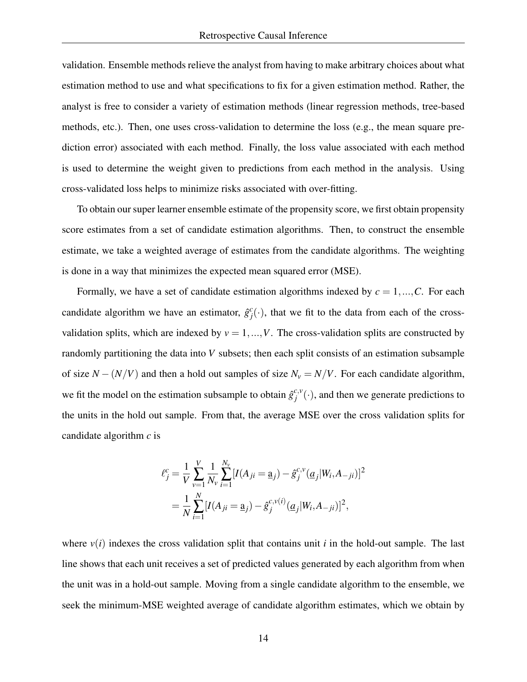validation. Ensemble methods relieve the analyst from having to make arbitrary choices about what estimation method to use and what specifications to fix for a given estimation method. Rather, the analyst is free to consider a variety of estimation methods (linear regression methods, tree-based methods, etc.). Then, one uses cross-validation to determine the loss (e.g., the mean square prediction error) associated with each method. Finally, the loss value associated with each method is used to determine the weight given to predictions from each method in the analysis. Using cross-validated loss helps to minimize risks associated with over-fitting.

To obtain our super learner ensemble estimate of the propensity score, we first obtain propensity score estimates from a set of candidate estimation algorithms. Then, to construct the ensemble estimate, we take a weighted average of estimates from the candidate algorithms. The weighting is done in a way that minimizes the expected mean squared error (MSE).

Formally, we have a set of candidate estimation algorithms indexed by  $c = 1, ..., C$ . For each candidate algorithm we have an estimator,  $\hat{g}^c_j(\cdot)$ , that we fit to the data from each of the crossvalidation splits, which are indexed by  $v = 1, ..., V$ . The cross-validation splits are constructed by randomly partitioning the data into *V* subsets; then each split consists of an estimation subsample of size  $N - (N/V)$  and then a hold out samples of size  $N_v = N/V$ . For each candidate algorithm, we fit the model on the estimation subsample to obtain  $\hat{g}^{c,v}_{i}$  $j^{c,v}(\cdot)$ , and then we generate predictions to the units in the hold out sample. From that, the average MSE over the cross validation splits for candidate algorithm *c* is

$$
\ell_j^c = \frac{1}{V} \sum_{\nu=1}^V \frac{1}{N_{\nu}} \sum_{i=1}^{N_{\nu}} [I(A_{ji} = \underline{a}_j) - \hat{g}_j^{c,\nu}(\underline{a}_j|W_i, A_{-ji})]^2
$$
  
= 
$$
\frac{1}{N} \sum_{i=1}^N [I(A_{ji} = \underline{a}_j) - \hat{g}_j^{c,\nu(i)}(\underline{a}_j|W_i, A_{-ji})]^2,
$$

where  $v(i)$  indexes the cross validation split that contains unit *i* in the hold-out sample. The last line shows that each unit receives a set of predicted values generated by each algorithm from when the unit was in a hold-out sample. Moving from a single candidate algorithm to the ensemble, we seek the minimum-MSE weighted average of candidate algorithm estimates, which we obtain by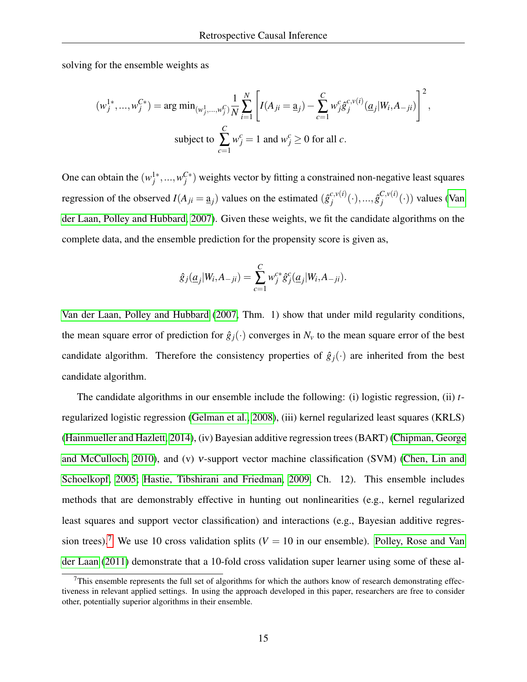solving for the ensemble weights as

$$
(w_j^{1*}, ..., w_j^{C*}) = \arg\min_{(w_j^1, ..., w_j^C)} \frac{1}{N} \sum_{i=1}^N \left[ I(A_{ji} = \underline{a}_j) - \sum_{c=1}^C w_j^c \hat{g}_j^{c, v(i)}(\underline{a}_j | W_i, A_{-ji}) \right]^2,
$$
  
subject to 
$$
\sum_{c=1}^C w_j^c = 1 \text{ and } w_j^c \ge 0 \text{ for all } c.
$$

One can obtain the  $(w_j^1, ..., w_j^C)$  weights vector by fitting a constrained non-negative least squares regression of the observed  $I(A_{ji} = \underline{a}_j)$  values on the estimated  $(\hat{g}_j^{c,v(i)})$  $\hat{g}^{\mathcal{C},v(i)}_j(\cdot),...,\hat{g}^{\mathcal{C},v(i)}_j$  $\varphi_j^{\nu,\nu(\ell)}(\cdot)$ ) values [\(Van](#page-42-7) [der Laan, Polley and Hubbard, 2007\)](#page-42-7). Given these weights, we fit the candidate algorithms on the complete data, and the ensemble prediction for the propensity score is given as,

$$
\hat{g}_j(\underline{a}_j|W_i, A_{-ji}) = \sum_{c=1}^C w_j^{c*} \hat{g}_j^c(\underline{a}_j|W_i, A_{-ji}).
$$

[Van der Laan, Polley and Hubbard](#page-42-7) [\(2007,](#page-42-7) Thm. 1) show that under mild regularity conditions, the mean square error of prediction for  $\hat{g}_j(\cdot)$  converges in  $N_\nu$  to the mean square error of the best candidate algorithm. Therefore the consistency properties of  $\hat{g}_i(\cdot)$  are inherited from the best candidate algorithm.

The candidate algorithms in our ensemble include the following: (i) logistic regression, (ii) *t*regularized logistic regression [\(Gelman et al., 2008\)](#page-38-5), (iii) kernel regularized least squares (KRLS) [\(Hainmueller and Hazlett, 2014\)](#page-38-6), (iv) Bayesian additive regression trees (BART) [\(Chipman, George](#page-38-7) [and McCulloch, 2010\)](#page-38-7), and (v) v-support vector machine classification (SVM) [\(Chen, Lin and](#page-37-8) [Schoelkopf, 2005;](#page-37-8) [Hastie, Tibshirani and Friedman, 2009,](#page-39-9) Ch. 12). This ensemble includes methods that are demonstrably effective in hunting out nonlinearities (e.g., kernel regularized least squares and support vector classification) and interactions (e.g., Bayesian additive regres-sion trees).<sup>[7](#page-16-0)</sup> We use 10 cross validation splits ( $V = 10$  in our ensemble). [Polley, Rose and Van](#page-41-7) [der Laan](#page-41-7) [\(2011\)](#page-41-7) demonstrate that a 10-fold cross validation super learner using some of these al-

<span id="page-16-0"></span> $7$ This ensemble represents the full set of algorithms for which the authors know of research demonstrating effectiveness in relevant applied settings. In using the approach developed in this paper, researchers are free to consider other, potentially superior algorithms in their ensemble.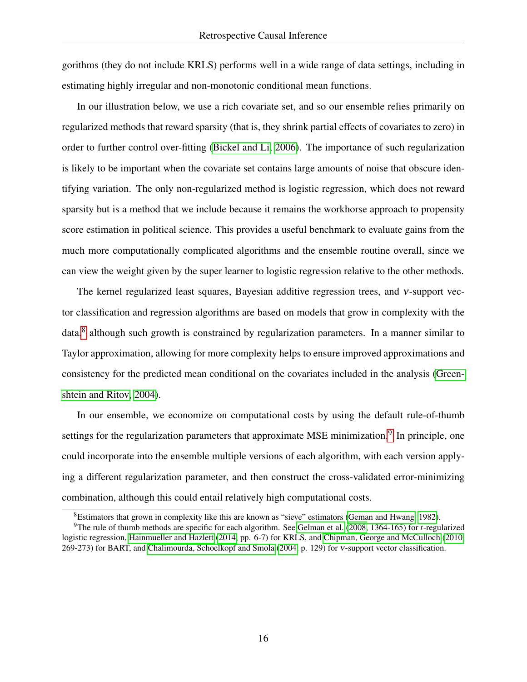gorithms (they do not include KRLS) performs well in a wide range of data settings, including in estimating highly irregular and non-monotonic conditional mean functions.

In our illustration below, we use a rich covariate set, and so our ensemble relies primarily on regularized methods that reward sparsity (that is, they shrink partial effects of covariates to zero) in order to further control over-fitting [\(Bickel and Li, 2006\)](#page-37-6). The importance of such regularization is likely to be important when the covariate set contains large amounts of noise that obscure identifying variation. The only non-regularized method is logistic regression, which does not reward sparsity but is a method that we include because it remains the workhorse approach to propensity score estimation in political science. This provides a useful benchmark to evaluate gains from the much more computationally complicated algorithms and the ensemble routine overall, since we can view the weight given by the super learner to logistic regression relative to the other methods.

The kernel regularized least squares, Bayesian additive regression trees, and ν-support vector classification and regression algorithms are based on models that grow in complexity with the data,<sup>[8](#page-17-0)</sup> although such growth is constrained by regularization parameters. In a manner similar to Taylor approximation, allowing for more complexity helps to ensure improved approximations and consistency for the predicted mean conditional on the covariates included in the analysis [\(Green](#page-38-8)[shtein and Ritov, 2004\)](#page-38-8).

In our ensemble, we economize on computational costs by using the default rule-of-thumb settings for the regularization parameters that approximate MSE minimization.<sup>[9](#page-17-1)</sup> In principle, one could incorporate into the ensemble multiple versions of each algorithm, with each version applying a different regularization parameter, and then construct the cross-validated error-minimizing combination, although this could entail relatively high computational costs.

<span id="page-17-1"></span><span id="page-17-0"></span><sup>8</sup>Estimators that grown in complexity like this are known as "sieve" estimators [\(Geman and Hwang, 1982\)](#page-38-9).

<sup>9</sup>The rule of thumb methods are specific for each algorithm. See [Gelman et al.](#page-38-5) [\(2008,](#page-38-5) 1364-165) for *t*-regularized logistic regression, [Hainmueller and Hazlett](#page-38-6) [\(2014,](#page-38-6) pp. 6-7) for KRLS, and [Chipman, George and McCulloch](#page-38-7) [\(2010,](#page-38-7) 269-273) for BART, and [Chalimourda, Schoelkopf and Smola](#page-37-9) [\(2004,](#page-37-9) p. 129) for ν-support vector classification.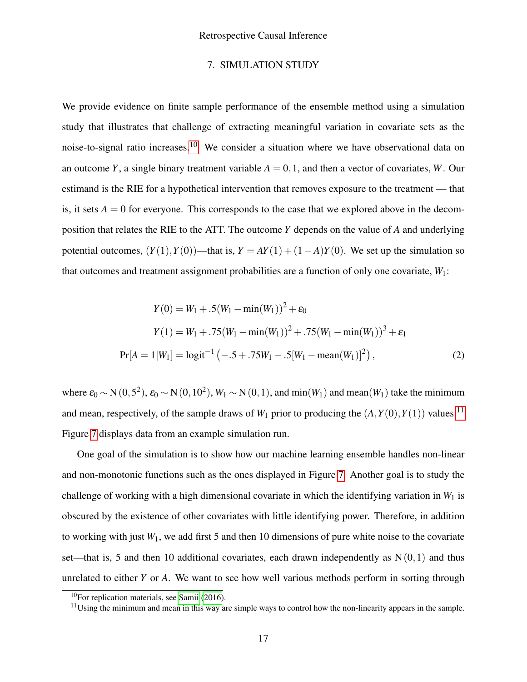#### 7. SIMULATION STUDY

We provide evidence on finite sample performance of the ensemble method using a simulation study that illustrates that challenge of extracting meaningful variation in covariate sets as the noise-to-signal ratio increases.[10](#page-18-0) We consider a situation where we have observational data on an outcome *Y*, a single binary treatment variable  $A = 0, 1$ , and then a vector of covariates, *W*. Our estimand is the RIE for a hypothetical intervention that removes exposure to the treatment — that is, it sets  $A = 0$  for everyone. This corresponds to the case that we explored above in the decomposition that relates the RIE to the ATT. The outcome *Y* depends on the value of *A* and underlying potential outcomes,  $(Y(1), Y(0))$ —that is,  $Y = AY(1) + (1 - A)Y(0)$ . We set up the simulation so that outcomes and treatment assignment probabilities are a function of only one covariate, *W*1:

<span id="page-18-2"></span>
$$
Y(0) = W_1 + .5(W_1 - \min(W_1))^2 + \varepsilon_0
$$
  
\n
$$
Y(1) = W_1 + .75(W_1 - \min(W_1))^2 + .75(W_1 - \min(W_1))^3 + \varepsilon_1
$$
  
\n
$$
Pr[A = 1|W_1] = logit^{-1}(-.5 + .75W_1 - .5[W_1 - \max(W_1)]^2),
$$
\n(2)

where  $\varepsilon_0 \sim N(0, 5^2)$ ,  $\varepsilon_0 \sim N(0, 10^2)$ ,  $W_1 \sim N(0, 1)$ , and min( $W_1$ ) and mean( $W_1$ ) take the minimum and mean, respectively, of the sample draws of  $W_1$  prior to producing the  $(A, Y(0), Y(1))$  values.<sup>[11](#page-18-1)</sup> Figure [7](#page-18-2) displays data from an example simulation run.

One goal of the simulation is to show how our machine learning ensemble handles non-linear and non-monotonic functions such as the ones displayed in Figure [7.](#page-18-2) Another goal is to study the challenge of working with a high dimensional covariate in which the identifying variation in  $W_1$  is obscured by the existence of other covariates with little identifying power. Therefore, in addition to working with just *W*1, we add first 5 and then 10 dimensions of pure white noise to the covariate set—that is, 5 and then 10 additional covariates, each drawn independently as  $N(0,1)$  and thus unrelated to either *Y* or *A*. We want to see how well various methods perform in sorting through

<span id="page-18-0"></span><sup>10</sup>For replication materials, see [Samii](#page-42-8) [\(2016\)](#page-42-8).

<span id="page-18-1"></span><sup>&</sup>lt;sup>11</sup>Using the minimum and mean in this way are simple ways to control how the non-linearity appears in the sample.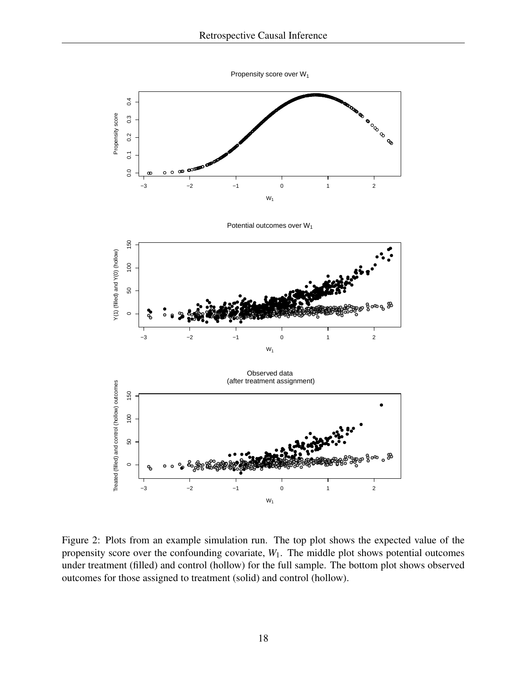Propensity score over W<sub>1</sub>



Figure 2: Plots from an example simulation run. The top plot shows the expected value of the propensity score over the confounding covariate,  $W_1$ . The middle plot shows potential outcomes under treatment (filled) and control (hollow) for the full sample. The bottom plot shows observed outcomes for those assigned to treatment (solid) and control (hollow).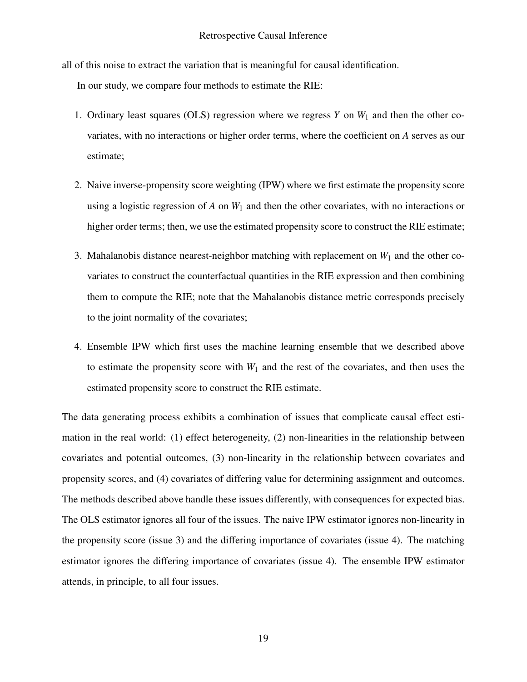all of this noise to extract the variation that is meaningful for causal identification.

In our study, we compare four methods to estimate the RIE:

- 1. Ordinary least squares (OLS) regression where we regress *Y* on *W*<sup>1</sup> and then the other covariates, with no interactions or higher order terms, where the coefficient on *A* serves as our estimate;
- 2. Naive inverse-propensity score weighting (IPW) where we first estimate the propensity score using a logistic regression of *A* on *W*<sup>1</sup> and then the other covariates, with no interactions or higher order terms; then, we use the estimated propensity score to construct the RIE estimate;
- 3. Mahalanobis distance nearest-neighbor matching with replacement on *W*<sup>1</sup> and the other covariates to construct the counterfactual quantities in the RIE expression and then combining them to compute the RIE; note that the Mahalanobis distance metric corresponds precisely to the joint normality of the covariates;
- <span id="page-20-0"></span>4. Ensemble IPW which first uses the machine learning ensemble that we described above to estimate the propensity score with  $W_1$  and the rest of the covariates, and then uses the estimated propensity score to construct the RIE estimate.

The data generating process exhibits a combination of issues that complicate causal effect estimation in the real world: (1) effect heterogeneity, (2) non-linearities in the relationship between covariates and potential outcomes, (3) non-linearity in the relationship between covariates and propensity scores, and (4) covariates of differing value for determining assignment and outcomes. The methods described above handle these issues differently, with consequences for expected bias. The OLS estimator ignores all four of the issues. The naive IPW estimator ignores non-linearity in the propensity score (issue 3) and the differing importance of covariates (issue 4). The matching estimator ignores the differing importance of covariates (issue 4). The ensemble IPW estimator attends, in principle, to all four issues.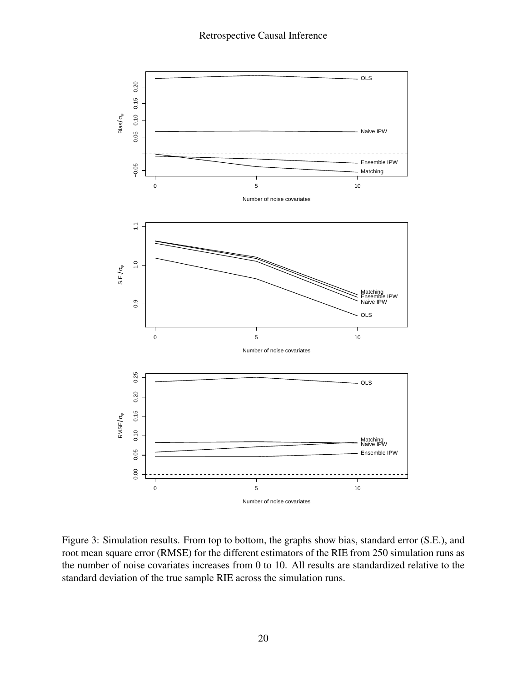

Figure 3: Simulation results. From top to bottom, the graphs show bias, standard error (S.E.), and root mean square error (RMSE) for the different estimators of the RIE from 250 simulation runs as the number of noise covariates increases from 0 to 10. All results are standardized relative to the standard deviation of the true sample RIE across the simulation runs.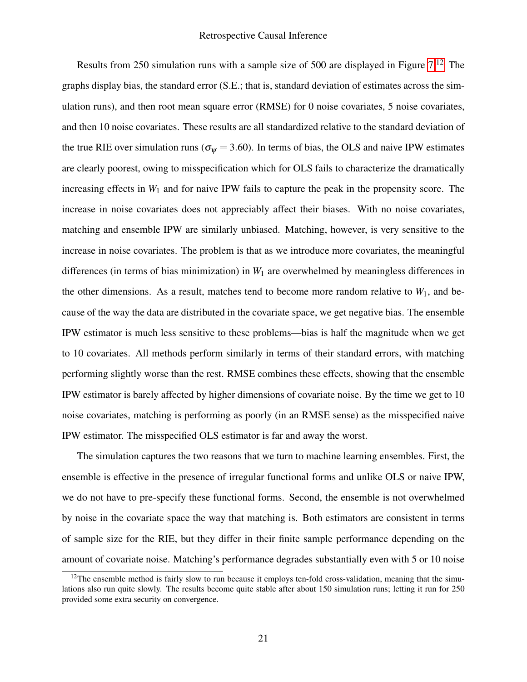Results from 250 simulation runs with a sample size of 500 are displayed in Figure  $7<sup>12</sup>$  $7<sup>12</sup>$  $7<sup>12</sup>$ . The graphs display bias, the standard error (S.E.; that is, standard deviation of estimates across the simulation runs), and then root mean square error (RMSE) for 0 noise covariates, 5 noise covariates, and then 10 noise covariates. These results are all standardized relative to the standard deviation of the true RIE over simulation runs ( $\sigma_{\psi}$  = 3.60). In terms of bias, the OLS and naive IPW estimates are clearly poorest, owing to misspecification which for OLS fails to characterize the dramatically increasing effects in *W*<sup>1</sup> and for naive IPW fails to capture the peak in the propensity score. The increase in noise covariates does not appreciably affect their biases. With no noise covariates, matching and ensemble IPW are similarly unbiased. Matching, however, is very sensitive to the increase in noise covariates. The problem is that as we introduce more covariates, the meaningful differences (in terms of bias minimization) in *W*<sup>1</sup> are overwhelmed by meaningless differences in the other dimensions. As a result, matches tend to become more random relative to  $W_1$ , and because of the way the data are distributed in the covariate space, we get negative bias. The ensemble IPW estimator is much less sensitive to these problems—bias is half the magnitude when we get to 10 covariates. All methods perform similarly in terms of their standard errors, with matching performing slightly worse than the rest. RMSE combines these effects, showing that the ensemble IPW estimator is barely affected by higher dimensions of covariate noise. By the time we get to 10 noise covariates, matching is performing as poorly (in an RMSE sense) as the misspecified naive IPW estimator. The misspecified OLS estimator is far and away the worst.

The simulation captures the two reasons that we turn to machine learning ensembles. First, the ensemble is effective in the presence of irregular functional forms and unlike OLS or naive IPW, we do not have to pre-specify these functional forms. Second, the ensemble is not overwhelmed by noise in the covariate space the way that matching is. Both estimators are consistent in terms of sample size for the RIE, but they differ in their finite sample performance depending on the amount of covariate noise. Matching's performance degrades substantially even with 5 or 10 noise

<span id="page-22-0"></span><sup>&</sup>lt;sup>12</sup>The ensemble method is fairly slow to run because it employs ten-fold cross-validation, meaning that the simulations also run quite slowly. The results become quite stable after about 150 simulation runs; letting it run for 250 provided some extra security on convergence.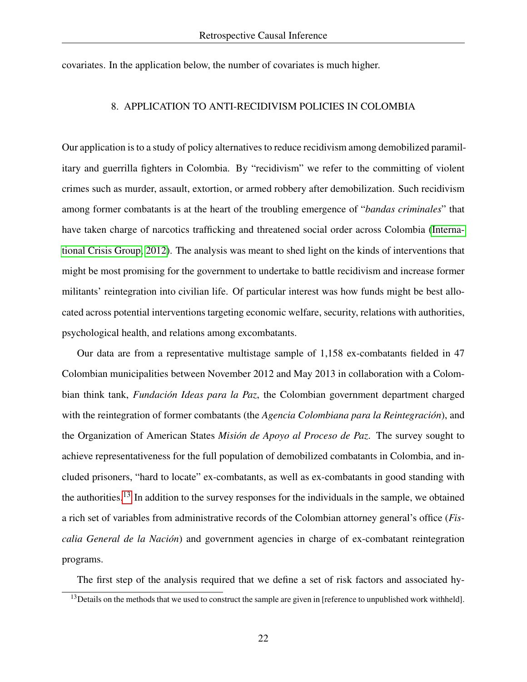covariates. In the application below, the number of covariates is much higher.

#### 8. APPLICATION TO ANTI-RECIDIVISM POLICIES IN COLOMBIA

Our application is to a study of policy alternatives to reduce recidivism among demobilized paramilitary and guerrilla fighters in Colombia. By "recidivism" we refer to the committing of violent crimes such as murder, assault, extortion, or armed robbery after demobilization. Such recidivism among former combatants is at the heart of the troubling emergence of "*bandas criminales*" that have taken charge of narcotics trafficking and threatened social order across Colombia [\(Interna](#page-40-5)[tional Crisis Group, 2012\)](#page-40-5). The analysis was meant to shed light on the kinds of interventions that might be most promising for the government to undertake to battle recidivism and increase former militants' reintegration into civilian life. Of particular interest was how funds might be best allocated across potential interventions targeting economic welfare, security, relations with authorities, psychological health, and relations among excombatants.

Our data are from a representative multistage sample of 1,158 ex-combatants fielded in 47 Colombian municipalities between November 2012 and May 2013 in collaboration with a Colombian think tank, *Fundación Ideas para la Paz*, the Colombian government department charged with the reintegration of former combatants (the *Agencia Colombiana para la Reintegración*), and the Organization of American States *Misión de Apoyo al Proceso de Paz*. The survey sought to achieve representativeness for the full population of demobilized combatants in Colombia, and included prisoners, "hard to locate" ex-combatants, as well as ex-combatants in good standing with the authorities.<sup>[13](#page-23-0)</sup> In addition to the survey responses for the individuals in the sample, we obtained a rich set of variables from administrative records of the Colombian attorney general's office (*Fiscalia General de la Nación*) and government agencies in charge of ex-combatant reintegration programs.

The first step of the analysis required that we define a set of risk factors and associated hy-

<span id="page-23-0"></span><sup>&</sup>lt;sup>13</sup>Details on the methods that we used to construct the sample are given in [reference to unpublished work withheld].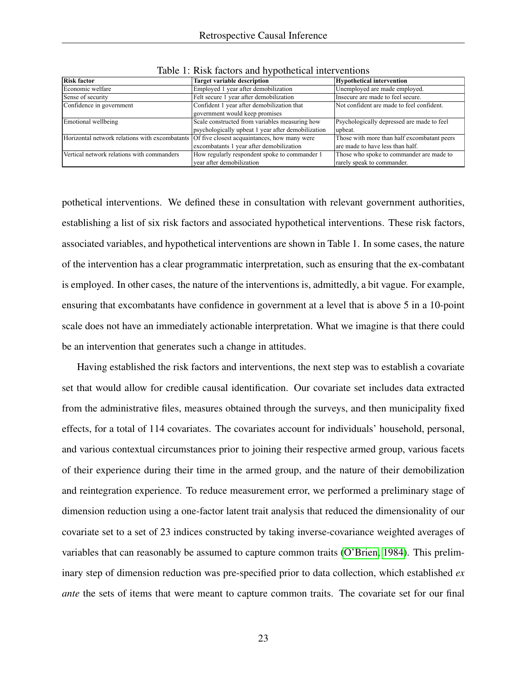| <b>Risk factor</b>                                                                          | <b>Target variable description</b>                 | <b>Hypothetical intervention</b>            |  |
|---------------------------------------------------------------------------------------------|----------------------------------------------------|---------------------------------------------|--|
| Economic welfare                                                                            | Employed 1 year after demobilization               | Unemployed are made employed.               |  |
| Sense of security                                                                           | Felt secure 1 year after demobilization            | Insecure are made to feel secure.           |  |
| Confidence in government                                                                    | Confident 1 year after demobilization that         | Not confident are made to feel confident.   |  |
|                                                                                             | government would keep promises                     |                                             |  |
| Emotional wellbeing                                                                         | Scale constructed from variables measuring how     | Psychologically depressed are made to feel  |  |
|                                                                                             | psychologically upbeat 1 year after demobilization | upbeat.                                     |  |
| Horizontal network relations with excombatants Of five closest acquaintances, how many were |                                                    | Those with more than half excombatant peers |  |
|                                                                                             | excombatants 1 year after demobilization           | are made to have less than half.            |  |
| Vertical network relations with commanders                                                  | How regularly respondent spoke to commander 1      | Those who spoke to commander are made to    |  |
|                                                                                             | vear after demobilization                          | rarely speak to commander.                  |  |

Table 1: Risk factors and hypothetical interventions

pothetical interventions. We defined these in consultation with relevant government authorities, establishing a list of six risk factors and associated hypothetical interventions. These risk factors, associated variables, and hypothetical interventions are shown in Table 1. In some cases, the nature of the intervention has a clear programmatic interpretation, such as ensuring that the ex-combatant is employed. In other cases, the nature of the interventions is, admittedly, a bit vague. For example, ensuring that excombatants have confidence in government at a level that is above 5 in a 10-point scale does not have an immediately actionable interpretation. What we imagine is that there could be an intervention that generates such a change in attitudes.

Having established the risk factors and interventions, the next step was to establish a covariate set that would allow for credible causal identification. Our covariate set includes data extracted from the administrative files, measures obtained through the surveys, and then municipality fixed effects, for a total of 114 covariates. The covariates account for individuals' household, personal, and various contextual circumstances prior to joining their respective armed group, various facets of their experience during their time in the armed group, and the nature of their demobilization and reintegration experience. To reduce measurement error, we performed a preliminary stage of dimension reduction using a one-factor latent trait analysis that reduced the dimensionality of our covariate set to a set of 23 indices constructed by taking inverse-covariance weighted averages of variables that can reasonably be assumed to capture common traits [\(O'Brien, 1984\)](#page-40-6). This preliminary step of dimension reduction was pre-specified prior to data collection, which established *ex ante* the sets of items that were meant to capture common traits. The covariate set for our final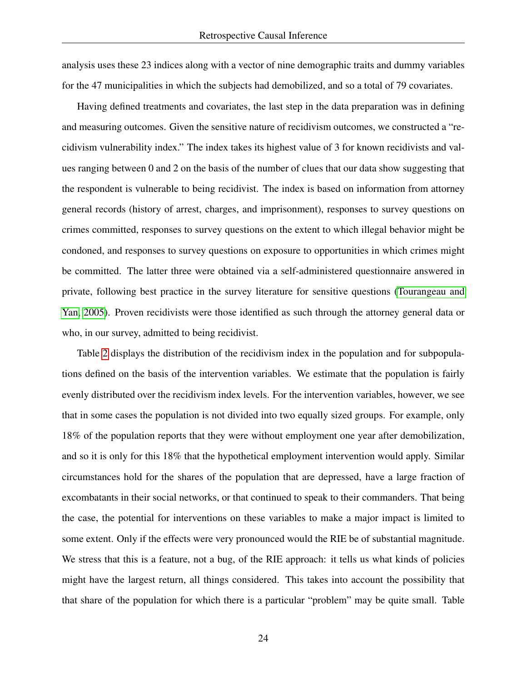analysis uses these 23 indices along with a vector of nine demographic traits and dummy variables for the 47 municipalities in which the subjects had demobilized, and so a total of 79 covariates.

Having defined treatments and covariates, the last step in the data preparation was in defining and measuring outcomes. Given the sensitive nature of recidivism outcomes, we constructed a "recidivism vulnerability index." The index takes its highest value of 3 for known recidivists and values ranging between 0 and 2 on the basis of the number of clues that our data show suggesting that the respondent is vulnerable to being recidivist. The index is based on information from attorney general records (history of arrest, charges, and imprisonment), responses to survey questions on crimes committed, responses to survey questions on the extent to which illegal behavior might be condoned, and responses to survey questions on exposure to opportunities in which crimes might be committed. The latter three were obtained via a self-administered questionnaire answered in private, following best practice in the survey literature for sensitive questions [\(Tourangeau and](#page-42-9) [Yan, 2005\)](#page-42-9). Proven recidivists were those identified as such through the attorney general data or who, in our survey, admitted to being recidivist.

Table [2](#page-26-0) displays the distribution of the recidivism index in the population and for subpopulations defined on the basis of the intervention variables. We estimate that the population is fairly evenly distributed over the recidivism index levels. For the intervention variables, however, we see that in some cases the population is not divided into two equally sized groups. For example, only 18% of the population reports that they were without employment one year after demobilization, and so it is only for this 18% that the hypothetical employment intervention would apply. Similar circumstances hold for the shares of the population that are depressed, have a large fraction of excombatants in their social networks, or that continued to speak to their commanders. That being the case, the potential for interventions on these variables to make a major impact is limited to some extent. Only if the effects were very pronounced would the RIE be of substantial magnitude. We stress that this is a feature, not a bug, of the RIE approach: it tells us what kinds of policies might have the largest return, all things considered. This takes into account the possibility that that share of the population for which there is a particular "problem" may be quite small. Table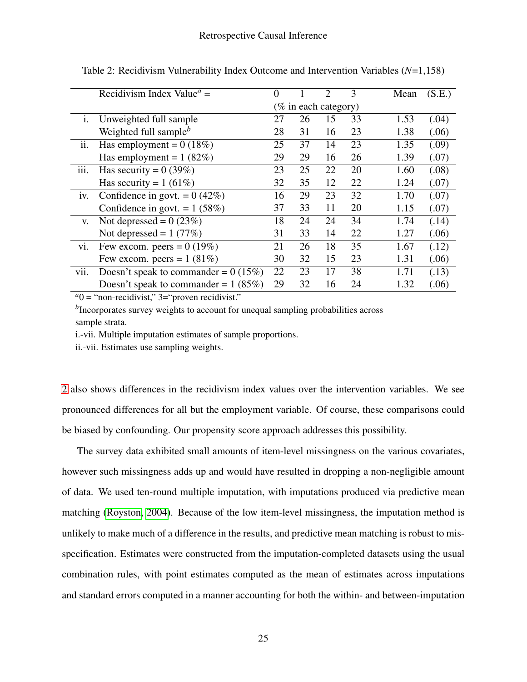|                                         | 0                                            |    | $\mathcal{D}_{\mathcal{L}}$ |    |                              | (S.E.) |
|-----------------------------------------|----------------------------------------------|----|-----------------------------|----|------------------------------|--------|
|                                         |                                              |    |                             |    |                              |        |
| Unweighted full sample                  | 27                                           | 26 | 15                          | 33 | 1.53                         | (.04)  |
| Weighted full sample <sup>b</sup>       | 28                                           | 31 | 16                          | 23 | 1.38                         | (.06)  |
| Has employment = $0(18%)$               | 25                                           | 37 | 14                          | 23 | 1.35                         | (.09)  |
| Has employment = $1 (82\%)$             | 29                                           | 29 | 16                          | 26 | 1.39                         | (.07)  |
| Has security = $0(39%)$                 | 23                                           | 25 | 22                          | 20 | 1.60                         | (.08)  |
| Has security = 1 (61%)                  | 32                                           | 35 | 12                          | 22 | 1.24                         | (.07)  |
| Confidence in govt. = $0(42\%)$         | 16                                           | 29 | 23                          | 32 | 1.70                         | (.07)  |
| Confidence in govt. $= 1 (58\%)$        | 37                                           | 33 | 11                          | 20 | 1.15                         | (.07)  |
| Not depressed = $0(23%)$                | 18                                           | 24 | 24                          | 34 | 1.74                         | (.14)  |
| Not depressed = $1(77%)$                | 31                                           | 33 | 14                          | 22 | 1.27                         | (.06)  |
| Few excom. peers = $0(19\%)$            | 21                                           | 26 | 18                          | 35 | 1.67                         | (.12)  |
| Few excom. peers = $1(81%)$             | 30                                           | 32 | 15                          | 23 | 1.31                         | (.06)  |
| Doesn't speak to commander = $0(15%)$   | 22                                           | 23 | 17                          | 38 | 1.71                         | (.13)  |
| Doesn't speak to commander = $1 (85\%)$ | 29                                           | 32 | 16                          | 24 | 1.32                         | (.06)  |
|                                         | Recidivism Index Value <sup><i>a</i></sup> = |    |                             |    | 3<br>$(\%$ in each category) | Mean   |

<span id="page-26-0"></span>Table 2: Recidivism Vulnerability Index Outcome and Intervention Variables (*N*=1,158)

 $a_0$  = "non-recidivist," 3= "proven recidivist."

*b* Incorporates survey weights to account for unequal sampling probabilities across

sample strata.

i.-vii. Multiple imputation estimates of sample proportions.

ii.-vii. Estimates use sampling weights.

[2](#page-26-0) also shows differences in the recidivism index values over the intervention variables. We see pronounced differences for all but the employment variable. Of course, these comparisons could be biased by confounding. Our propensity score approach addresses this possibility.

The survey data exhibited small amounts of item-level missingness on the various covariates, however such missingness adds up and would have resulted in dropping a non-negligible amount of data. We used ten-round multiple imputation, with imputations produced via predictive mean matching [\(Royston, 2004\)](#page-41-8). Because of the low item-level missingness, the imputation method is unlikely to make much of a difference in the results, and predictive mean matching is robust to misspecification. Estimates were constructed from the imputation-completed datasets using the usual combination rules, with point estimates computed as the mean of estimates across imputations and standard errors computed in a manner accounting for both the within- and between-imputation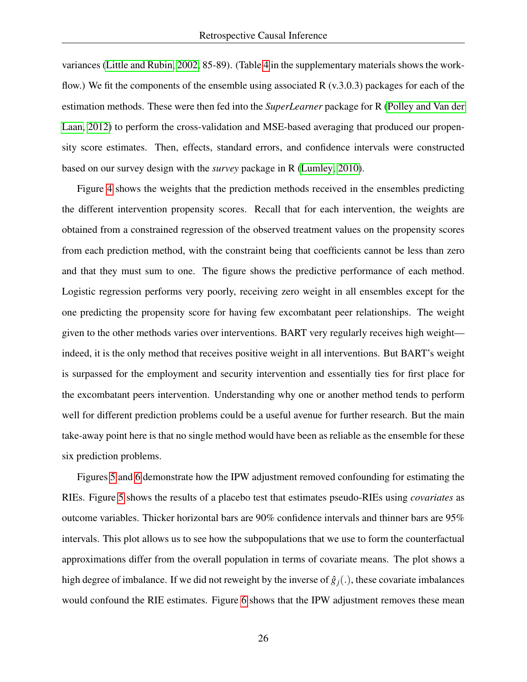variances [\(Little and Rubin, 2002,](#page-40-7) 85-89). (Table [4](#page-46-0) in the supplementary materials shows the workflow.) We fit the components of the ensemble using associated R  $(v.3.0.3)$  packages for each of the estimation methods. These were then fed into the *SuperLearner* package for R [\(Polley and Van der](#page-41-9) [Laan, 2012\)](#page-41-9) to perform the cross-validation and MSE-based averaging that produced our propensity score estimates. Then, effects, standard errors, and confidence intervals were constructed based on our survey design with the *survey* package in R [\(Lumley, 2010\)](#page-40-8).

Figure [4](#page-28-0) shows the weights that the prediction methods received in the ensembles predicting the different intervention propensity scores. Recall that for each intervention, the weights are obtained from a constrained regression of the observed treatment values on the propensity scores from each prediction method, with the constraint being that coefficients cannot be less than zero and that they must sum to one. The figure shows the predictive performance of each method. Logistic regression performs very poorly, receiving zero weight in all ensembles except for the one predicting the propensity score for having few excombatant peer relationships. The weight given to the other methods varies over interventions. BART very regularly receives high weight indeed, it is the only method that receives positive weight in all interventions. But BART's weight is surpassed for the employment and security intervention and essentially ties for first place for the excombatant peers intervention. Understanding why one or another method tends to perform well for different prediction problems could be a useful avenue for further research. But the main take-away point here is that no single method would have been as reliable as the ensemble for these six prediction problems.

Figures [5](#page-29-0) and [6](#page-30-0) demonstrate how the IPW adjustment removed confounding for estimating the RIEs. Figure [5](#page-29-0) shows the results of a placebo test that estimates pseudo-RIEs using *covariates* as outcome variables. Thicker horizontal bars are 90% confidence intervals and thinner bars are 95% intervals. This plot allows us to see how the subpopulations that we use to form the counterfactual approximations differ from the overall population in terms of covariate means. The plot shows a high degree of imbalance. If we did not reweight by the inverse of  $\hat{g}_i(.)$ , these covariate imbalances would confound the RIE estimates. Figure [6](#page-30-0) shows that the IPW adjustment removes these mean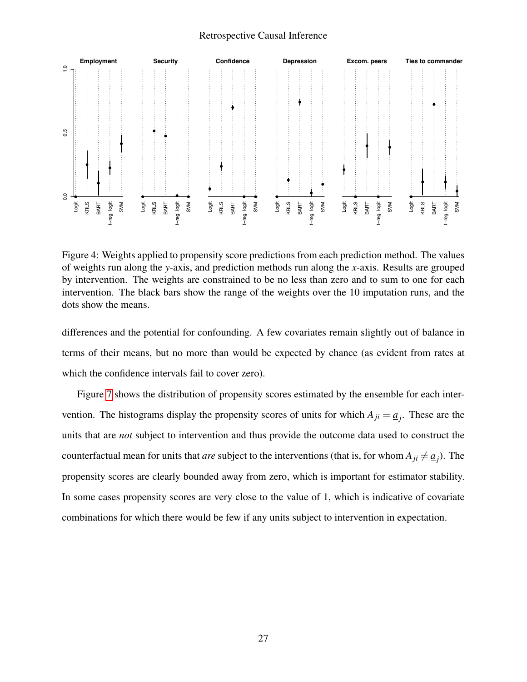

<span id="page-28-0"></span>Figure 4: Weights applied to propensity score predictions from each prediction method. The values of weights run along the *y*-axis, and prediction methods run along the *x*-axis. Results are grouped by intervention. The weights are constrained to be no less than zero and to sum to one for each intervention. The black bars show the range of the weights over the 10 imputation runs, and the dots show the means.

differences and the potential for confounding. A few covariates remain slightly out of balance in terms of their means, but no more than would be expected by chance (as evident from rates at which the confidence intervals fail to cover zero).

Figure [7](#page-31-0) shows the distribution of propensity scores estimated by the ensemble for each intervention. The histograms display the propensity scores of units for which  $A_{ji} = \underline{a_j}$ . These are the units that are *not* subject to intervention and thus provide the outcome data used to construct the counterfactual mean for units that *are* subject to the interventions (that is, for whom  $A_{ji} \neq \underline{a_j}$ ). The propensity scores are clearly bounded away from zero, which is important for estimator stability. In some cases propensity scores are very close to the value of 1, which is indicative of covariate combinations for which there would be few if any units subject to intervention in expectation.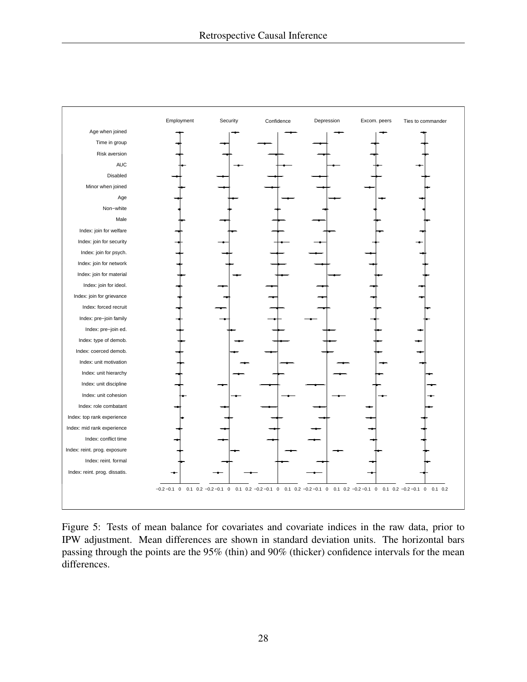

<span id="page-29-0"></span>Figure 5: Tests of mean balance for covariates and covariate indices in the raw data, prior to IPW adjustment. Mean differences are shown in standard deviation units. The horizontal bars passing through the points are the 95% (thin) and 90% (thicker) confidence intervals for the mean differences.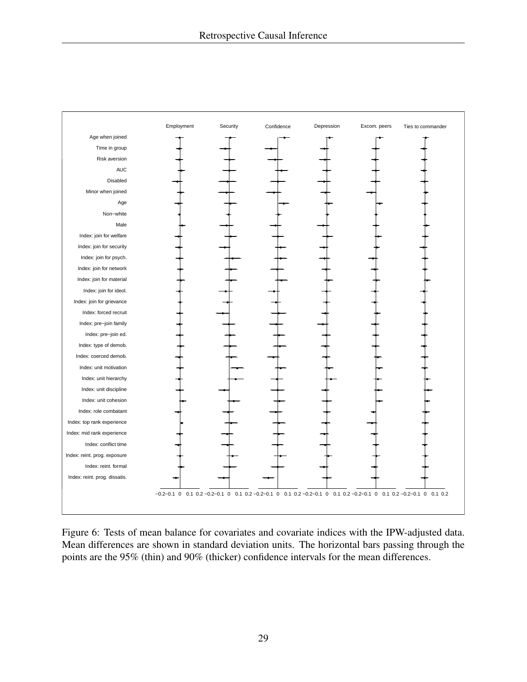

<span id="page-30-0"></span>Figure 6: Tests of mean balance for covariates and covariate indices with the IPW-adjusted data. Mean differences are shown in standard deviation units. The horizontal bars passing through the points are the 95% (thin) and 90% (thicker) confidence intervals for the mean differences.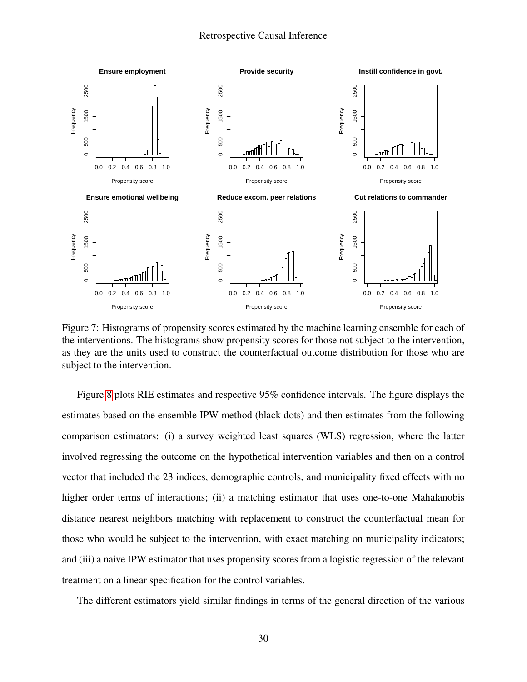

<span id="page-31-0"></span>Figure 7: Histograms of propensity scores estimated by the machine learning ensemble for each of the interventions. The histograms show propensity scores for those not subject to the intervention, as they are the units used to construct the counterfactual outcome distribution for those who are subject to the intervention.

Figure [8](#page-33-0) plots RIE estimates and respective 95% confidence intervals. The figure displays the estimates based on the ensemble IPW method (black dots) and then estimates from the following comparison estimators: (i) a survey weighted least squares (WLS) regression, where the latter involved regressing the outcome on the hypothetical intervention variables and then on a control vector that included the 23 indices, demographic controls, and municipality fixed effects with no higher order terms of interactions; (ii) a matching estimator that uses one-to-one Mahalanobis distance nearest neighbors matching with replacement to construct the counterfactual mean for those who would be subject to the intervention, with exact matching on municipality indicators; and (iii) a naive IPW estimator that uses propensity scores from a logistic regression of the relevant treatment on a linear specification for the control variables.

The different estimators yield similar findings in terms of the general direction of the various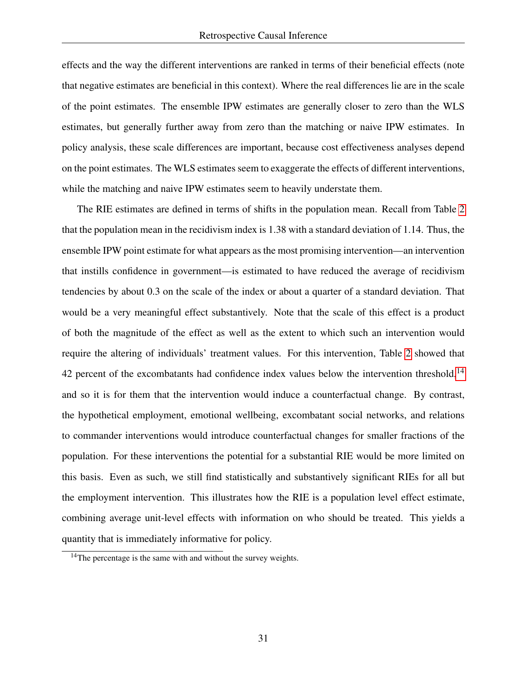effects and the way the different interventions are ranked in terms of their beneficial effects (note that negative estimates are beneficial in this context). Where the real differences lie are in the scale of the point estimates. The ensemble IPW estimates are generally closer to zero than the WLS estimates, but generally further away from zero than the matching or naive IPW estimates. In policy analysis, these scale differences are important, because cost effectiveness analyses depend on the point estimates. The WLS estimates seem to exaggerate the effects of different interventions, while the matching and naive IPW estimates seem to heavily understate them.

The RIE estimates are defined in terms of shifts in the population mean. Recall from Table [2](#page-26-0) that the population mean in the recidivism index is 1.38 with a standard deviation of 1.14. Thus, the ensemble IPW point estimate for what appears as the most promising intervention—an intervention that instills confidence in government—is estimated to have reduced the average of recidivism tendencies by about 0.3 on the scale of the index or about a quarter of a standard deviation. That would be a very meaningful effect substantively. Note that the scale of this effect is a product of both the magnitude of the effect as well as the extent to which such an intervention would require the altering of individuals' treatment values. For this intervention, Table [2](#page-26-0) showed that 42 percent of the excombatants had confidence index values below the intervention threshold,  $14$ and so it is for them that the intervention would induce a counterfactual change. By contrast, the hypothetical employment, emotional wellbeing, excombatant social networks, and relations to commander interventions would introduce counterfactual changes for smaller fractions of the population. For these interventions the potential for a substantial RIE would be more limited on this basis. Even as such, we still find statistically and substantively significant RIEs for all but the employment intervention. This illustrates how the RIE is a population level effect estimate, combining average unit-level effects with information on who should be treated. This yields a quantity that is immediately informative for policy.

<span id="page-32-0"></span><sup>&</sup>lt;sup>14</sup>The percentage is the same with and without the survey weights.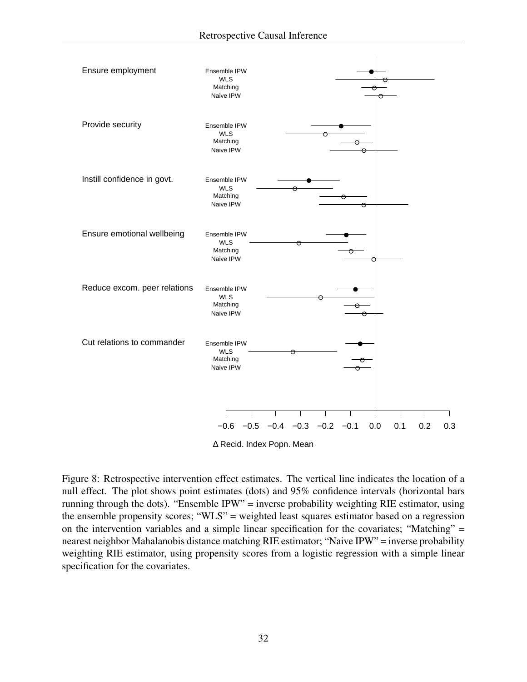

∆ Recid. Index Popn. Mean

<span id="page-33-0"></span>Figure 8: Retrospective intervention effect estimates. The vertical line indicates the location of a null effect. The plot shows point estimates (dots) and 95% confidence intervals (horizontal bars running through the dots). "Ensemble IPW" = inverse probability weighting RIE estimator, using the ensemble propensity scores; "WLS" = weighted least squares estimator based on a regression on the intervention variables and a simple linear specification for the covariates; "Matching" = nearest neighbor Mahalanobis distance matching RIE estimator; "Naive IPW" = inverse probability weighting RIE estimator, using propensity scores from a logistic regression with a simple linear specification for the covariates.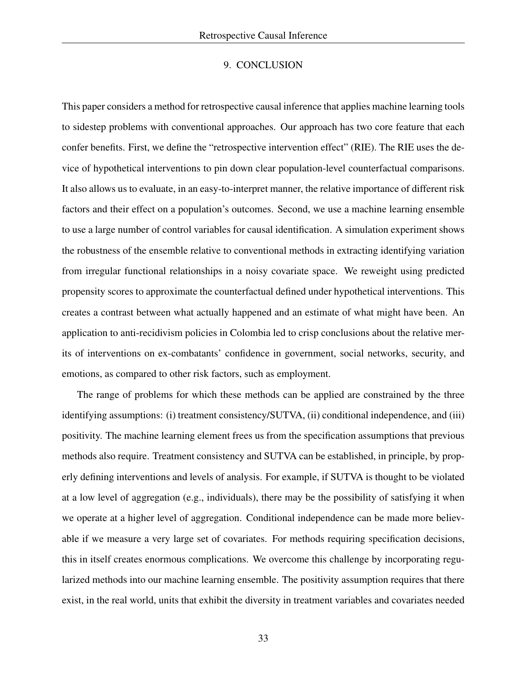#### 9. CONCLUSION

This paper considers a method for retrospective causal inference that applies machine learning tools to sidestep problems with conventional approaches. Our approach has two core feature that each confer benefits. First, we define the "retrospective intervention effect" (RIE). The RIE uses the device of hypothetical interventions to pin down clear population-level counterfactual comparisons. It also allows us to evaluate, in an easy-to-interpret manner, the relative importance of different risk factors and their effect on a population's outcomes. Second, we use a machine learning ensemble to use a large number of control variables for causal identification. A simulation experiment shows the robustness of the ensemble relative to conventional methods in extracting identifying variation from irregular functional relationships in a noisy covariate space. We reweight using predicted propensity scores to approximate the counterfactual defined under hypothetical interventions. This creates a contrast between what actually happened and an estimate of what might have been. An application to anti-recidivism policies in Colombia led to crisp conclusions about the relative merits of interventions on ex-combatants' confidence in government, social networks, security, and emotions, as compared to other risk factors, such as employment.

The range of problems for which these methods can be applied are constrained by the three identifying assumptions: (i) treatment consistency/SUTVA, (ii) conditional independence, and (iii) positivity. The machine learning element frees us from the specification assumptions that previous methods also require. Treatment consistency and SUTVA can be established, in principle, by properly defining interventions and levels of analysis. For example, if SUTVA is thought to be violated at a low level of aggregation (e.g., individuals), there may be the possibility of satisfying it when we operate at a higher level of aggregation. Conditional independence can be made more believable if we measure a very large set of covariates. For methods requiring specification decisions, this in itself creates enormous complications. We overcome this challenge by incorporating regularized methods into our machine learning ensemble. The positivity assumption requires that there exist, in the real world, units that exhibit the diversity in treatment variables and covariates needed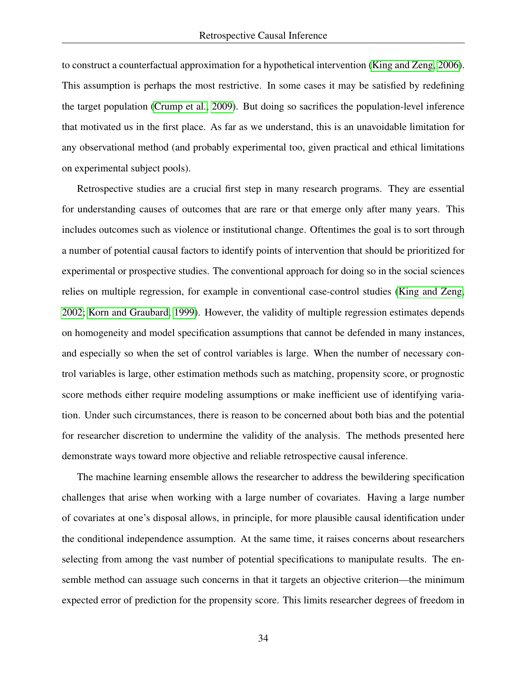to construct a counterfactual approximation for a hypothetical intervention [\(King and Zeng, 2006\)](#page-40-3). This assumption is perhaps the most restrictive. In some cases it may be satisfied by redefining the target population [\(Crump et al., 2009\)](#page-38-10). But doing so sacrifices the population-level inference that motivated us in the first place. As far as we understand, this is an unavoidable limitation for any observational method (and probably experimental too, given practical and ethical limitations on experimental subject pools).

Retrospective studies are a crucial first step in many research programs. They are essential for understanding causes of outcomes that are rare or that emerge only after many years. This includes outcomes such as violence or institutional change. Oftentimes the goal is to sort through a number of potential causal factors to identify points of intervention that should be prioritized for experimental or prospective studies. The conventional approach for doing so in the social sciences relies on multiple regression, for example in conventional case-control studies [\(King and Zeng,](#page-40-9) [2002;](#page-40-9) [Korn and Graubard, 1999\)](#page-40-10). However, the validity of multiple regression estimates depends on homogeneity and model specification assumptions that cannot be defended in many instances, and especially so when the set of control variables is large. When the number of necessary control variables is large, other estimation methods such as matching, propensity score, or prognostic score methods either require modeling assumptions or make inefficient use of identifying variation. Under such circumstances, there is reason to be concerned about both bias and the potential for researcher discretion to undermine the validity of the analysis. The methods presented here demonstrate ways toward more objective and reliable retrospective causal inference.

The machine learning ensemble allows the researcher to address the bewildering specification challenges that arise when working with a large number of covariates. Having a large number of covariates at one's disposal allows, in principle, for more plausible causal identification under the conditional independence assumption. At the same time, it raises concerns about researchers selecting from among the vast number of potential specifications to manipulate results. The ensemble method can assuage such concerns in that it targets an objective criterion—the minimum expected error of prediction for the propensity score. This limits researcher degrees of freedom in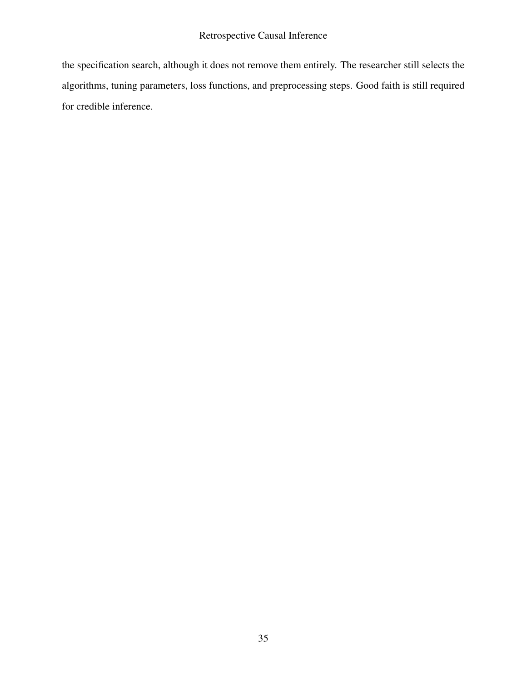the specification search, although it does not remove them entirely. The researcher still selects the algorithms, tuning parameters, loss functions, and preprocessing steps. Good faith is still required for credible inference.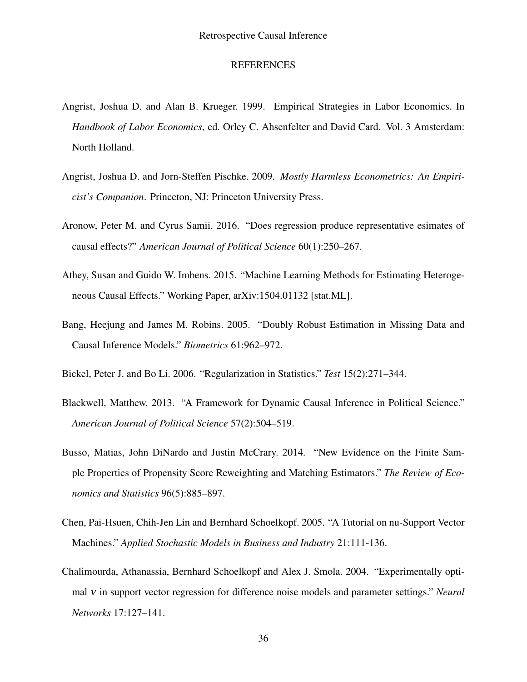#### REFERENCES

- <span id="page-37-4"></span>Angrist, Joshua D. and Alan B. Krueger. 1999. Empirical Strategies in Labor Economics. In *Handbook of Labor Economics*, ed. Orley C. Ahsenfelter and David Card. Vol. 3 Amsterdam: North Holland.
- <span id="page-37-0"></span>Angrist, Joshua D. and Jorn-Steffen Pischke. 2009. *Mostly Harmless Econometrics: An Empiricist's Companion*. Princeton, NJ: Princeton University Press.
- <span id="page-37-5"></span>Aronow, Peter M. and Cyrus Samii. 2016. "Does regression produce representative esimates of causal effects?" *American Journal of Political Science* 60(1):250–267.
- <span id="page-37-1"></span>Athey, Susan and Guido W. Imbens. 2015. "Machine Learning Methods for Estimating Heterogeneous Causal Effects." Working Paper, arXiv:1504.01132 [stat.ML].
- <span id="page-37-3"></span>Bang, Heejung and James M. Robins. 2005. "Doubly Robust Estimation in Missing Data and Causal Inference Models." *Biometrics* 61:962–972.
- <span id="page-37-6"></span>Bickel, Peter J. and Bo Li. 2006. "Regularization in Statistics." *Test* 15(2):271–344.
- <span id="page-37-2"></span>Blackwell, Matthew. 2013. "A Framework for Dynamic Causal Inference in Political Science." *American Journal of Political Science* 57(2):504–519.
- <span id="page-37-7"></span>Busso, Matias, John DiNardo and Justin McCrary. 2014. "New Evidence on the Finite Sample Properties of Propensity Score Reweighting and Matching Estimators." *The Review of Economics and Statistics* 96(5):885–897.
- <span id="page-37-8"></span>Chen, Pai-Hsuen, Chih-Jen Lin and Bernhard Schoelkopf. 2005. "A Tutorial on nu-Support Vector Machines." *Applied Stochastic Models in Business and Industry* 21:111-136.
- <span id="page-37-9"></span>Chalimourda, Athanassia, Bernhard Schoelkopf and Alex J. Smola. 2004. "Experimentally optimal ν in support vector regression for difference noise models and parameter settings." *Neural Networks* 17:127–141.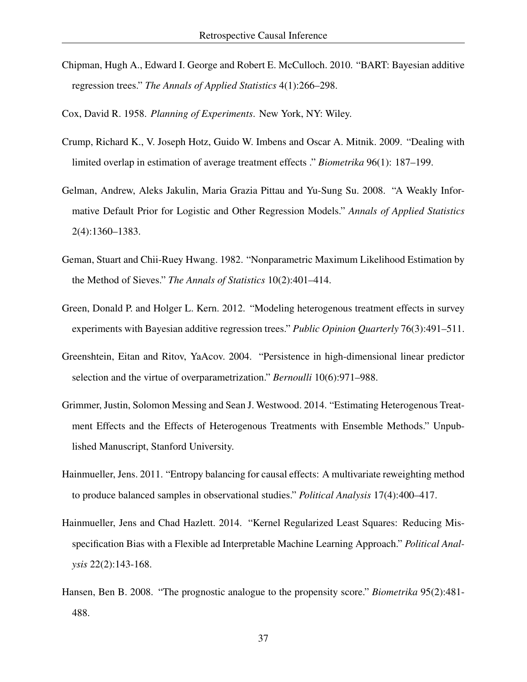<span id="page-38-7"></span>Chipman, Hugh A., Edward I. George and Robert E. McCulloch. 2010. "BART: Bayesian additive regression trees." *The Annals of Applied Statistics* 4(1):266–298.

<span id="page-38-4"></span>Cox, David R. 1958. *Planning of Experiments*. New York, NY: Wiley.

- <span id="page-38-10"></span>Crump, Richard K., V. Joseph Hotz, Guido W. Imbens and Oscar A. Mitnik. 2009. "Dealing with limited overlap in estimation of average treatment effects ." *Biometrika* 96(1): 187–199.
- <span id="page-38-5"></span>Gelman, Andrew, Aleks Jakulin, Maria Grazia Pittau and Yu-Sung Su. 2008. "A Weakly Informative Default Prior for Logistic and Other Regression Models." *Annals of Applied Statistics* 2(4):1360–1383.
- <span id="page-38-9"></span>Geman, Stuart and Chii-Ruey Hwang. 1982. "Nonparametric Maximum Likelihood Estimation by the Method of Sieves." *The Annals of Statistics* 10(2):401–414.
- <span id="page-38-1"></span>Green, Donald P. and Holger L. Kern. 2012. "Modeling heterogenous treatment effects in survey experiments with Bayesian additive regression trees." *Public Opinion Quarterly* 76(3):491–511.
- <span id="page-38-8"></span>Greenshtein, Eitan and Ritov, YaAcov. 2004. "Persistence in high-dimensional linear predictor selection and the virtue of overparametrization." *Bernoulli* 10(6):971–988.
- <span id="page-38-0"></span>Grimmer, Justin, Solomon Messing and Sean J. Westwood. 2014. "Estimating Heterogenous Treatment Effects and the Effects of Heterogenous Treatments with Ensemble Methods." Unpublished Manuscript, Stanford University.
- <span id="page-38-3"></span>Hainmueller, Jens. 2011. "Entropy balancing for causal effects: A multivariate reweighting method to produce balanced samples in observational studies." *Political Analysis* 17(4):400–417.
- <span id="page-38-6"></span>Hainmueller, Jens and Chad Hazlett. 2014. "Kernel Regularized Least Squares: Reducing Misspecification Bias with a Flexible ad Interpretable Machine Learning Approach." *Political Analysis* 22(2):143-168.
- <span id="page-38-2"></span>Hansen, Ben B. 2008. "The prognostic analogue to the propensity score." *Biometrika* 95(2):481- 488.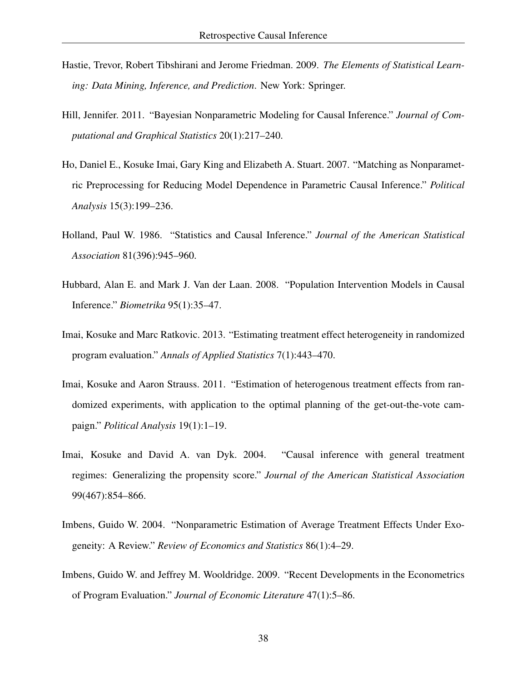- <span id="page-39-9"></span>Hastie, Trevor, Robert Tibshirani and Jerome Friedman. 2009. *The Elements of Statistical Learning: Data Mining, Inference, and Prediction*. New York: Springer.
- <span id="page-39-2"></span>Hill, Jennifer. 2011. "Bayesian Nonparametric Modeling for Causal Inference." *Journal of Computational and Graphical Statistics* 20(1):217–240.
- <span id="page-39-8"></span>Ho, Daniel E., Kosuke Imai, Gary King and Elizabeth A. Stuart. 2007. "Matching as Nonparametric Preprocessing for Reducing Model Dependence in Parametric Causal Inference." *Political Analysis* 15(3):199–236.
- <span id="page-39-4"></span>Holland, Paul W. 1986. "Statistics and Causal Inference." *Journal of the American Statistical Association* 81(396):945–960.
- <span id="page-39-3"></span>Hubbard, Alan E. and Mark J. Van der Laan. 2008. "Population Intervention Models in Causal Inference." *Biometrika* 95(1):35–47.
- <span id="page-39-0"></span>Imai, Kosuke and Marc Ratkovic. 2013. "Estimating treatment effect heterogeneity in randomized program evaluation." *Annals of Applied Statistics* 7(1):443–470.
- <span id="page-39-1"></span>Imai, Kosuke and Aaron Strauss. 2011. "Estimation of heterogenous treatment effects from randomized experiments, with application to the optimal planning of the get-out-the-vote campaign." *Political Analysis* 19(1):1–19.
- <span id="page-39-5"></span>Imai, Kosuke and David A. van Dyk. 2004. "Causal inference with general treatment regimes: Generalizing the propensity score." *Journal of the American Statistical Association* 99(467):854–866.
- <span id="page-39-6"></span>Imbens, Guido W. 2004. "Nonparametric Estimation of Average Treatment Effects Under Exogeneity: A Review." *Review of Economics and Statistics* 86(1):4–29.
- <span id="page-39-7"></span>Imbens, Guido W. and Jeffrey M. Wooldridge. 2009. "Recent Developments in the Econometrics of Program Evaluation." *Journal of Economic Literature* 47(1):5–86.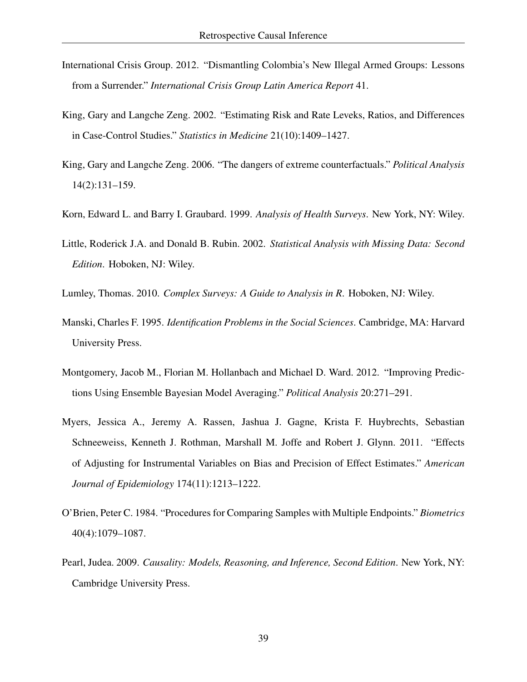- <span id="page-40-5"></span>International Crisis Group. 2012. "Dismantling Colombia's New Illegal Armed Groups: Lessons from a Surrender." *International Crisis Group Latin America Report* 41.
- <span id="page-40-9"></span>King, Gary and Langche Zeng. 2002. "Estimating Risk and Rate Leveks, Ratios, and Differences in Case-Control Studies." *Statistics in Medicine* 21(10):1409–1427.
- <span id="page-40-3"></span>King, Gary and Langche Zeng. 2006. "The dangers of extreme counterfactuals." *Political Analysis* 14(2):131–159.
- <span id="page-40-10"></span>Korn, Edward L. and Barry I. Graubard. 1999. *Analysis of Health Surveys*. New York, NY: Wiley.
- <span id="page-40-7"></span>Little, Roderick J.A. and Donald B. Rubin. 2002. *Statistical Analysis with Missing Data: Second Edition*. Hoboken, NJ: Wiley.
- <span id="page-40-8"></span>Lumley, Thomas. 2010. *Complex Surveys: A Guide to Analysis in R*. Hoboken, NJ: Wiley.
- <span id="page-40-4"></span>Manski, Charles F. 1995. *Identification Problems in the Social Sciences*. Cambridge, MA: Harvard University Press.
- <span id="page-40-1"></span>Montgomery, Jacob M., Florian M. Hollanbach and Michael D. Ward. 2012. "Improving Predictions Using Ensemble Bayesian Model Averaging." *Political Analysis* 20:271–291.
- <span id="page-40-0"></span>Myers, Jessica A., Jeremy A. Rassen, Jashua J. Gagne, Krista F. Huybrechts, Sebastian Schneeweiss, Kenneth J. Rothman, Marshall M. Joffe and Robert J. Glynn. 2011. "Effects of Adjusting for Instrumental Variables on Bias and Precision of Effect Estimates." *American Journal of Epidemiology* 174(11):1213–1222.
- <span id="page-40-6"></span>O'Brien, Peter C. 1984. "Procedures for Comparing Samples with Multiple Endpoints." *Biometrics* 40(4):1079–1087.
- <span id="page-40-2"></span>Pearl, Judea. 2009. *Causality: Models, Reasoning, and Inference, Second Edition*. New York, NY: Cambridge University Press.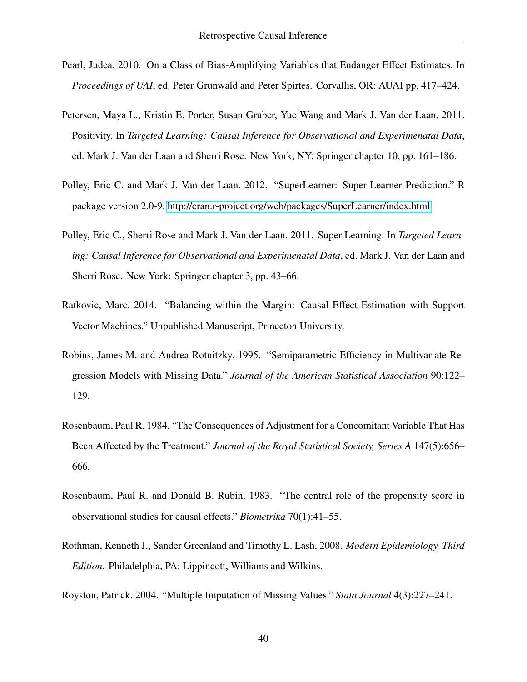- <span id="page-41-0"></span>Pearl, Judea. 2010. On a Class of Bias-Amplifying Variables that Endanger Effect Estimates. In *Proceedings of UAI*, ed. Peter Grunwald and Peter Spirtes. Corvallis, OR: AUAI pp. 417–424.
- <span id="page-41-6"></span>Petersen, Maya L., Kristin E. Porter, Susan Gruber, Yue Wang and Mark J. Van der Laan. 2011. Positivity. In *Targeted Learning: Causal Inference for Observational and Experimenatal Data*, ed. Mark J. Van der Laan and Sherri Rose. New York, NY: Springer chapter 10, pp. 161–186.
- <span id="page-41-9"></span>Polley, Eric C. and Mark J. Van der Laan. 2012. "SuperLearner: Super Learner Prediction." R package version 2.0-9. [http://cran.r-project.org/web/packages/SuperLearner/index.html.](http://cran.r-project.org/web/packages/SuperLearner/index.html)
- <span id="page-41-7"></span>Polley, Eric C., Sherri Rose and Mark J. Van der Laan. 2011. Super Learning. In *Targeted Learning: Causal Inference for Observational and Experimenatal Data*, ed. Mark J. Van der Laan and Sherri Rose. New York: Springer chapter 3, pp. 43–66.
- <span id="page-41-1"></span>Ratkovic, Marc. 2014. "Balancing within the Margin: Causal Effect Estimation with Support Vector Machines." Unpublished Manuscript, Princeton University.
- <span id="page-41-4"></span>Robins, James M. and Andrea Rotnitzky. 1995. "Semiparametric Efficiency in Multivariate Regression Models with Missing Data." *Journal of the American Statistical Association* 90:122– 129.
- <span id="page-41-2"></span>Rosenbaum, Paul R. 1984. "The Consequences of Adjustment for a Concomitant Variable That Has Been Affected by the Treatment." *Journal of the Royal Statistical Society, Series A* 147(5):656– 666.
- <span id="page-41-3"></span>Rosenbaum, Paul R. and Donald B. Rubin. 1983. "The central role of the propensity score in observational studies for causal effects." *Biometrika* 70(1):41–55.
- <span id="page-41-5"></span>Rothman, Kenneth J., Sander Greenland and Timothy L. Lash. 2008. *Modern Epidemiology, Third Edition*. Philadelphia, PA: Lippincott, Williams and Wilkins.
- <span id="page-41-8"></span>Royston, Patrick. 2004. "Multiple Imputation of Missing Values." *Stata Journal* 4(3):227–241.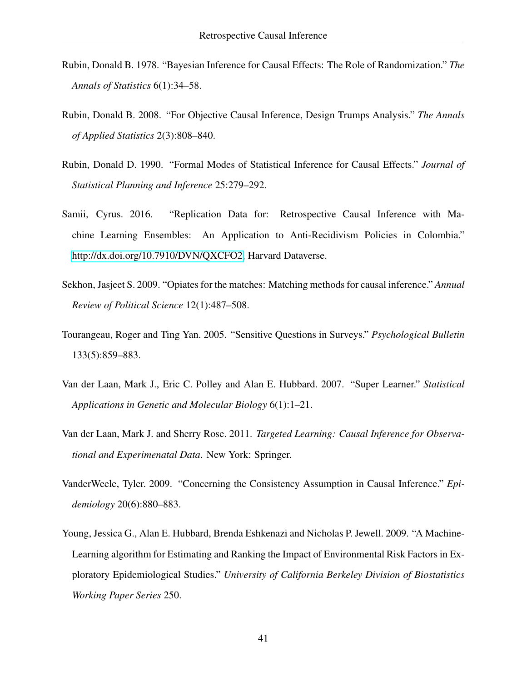- <span id="page-42-2"></span>Rubin, Donald B. 1978. "Bayesian Inference for Causal Effects: The Role of Randomization." *The Annals of Statistics* 6(1):34–58.
- <span id="page-42-4"></span>Rubin, Donald B. 2008. "For Objective Causal Inference, Design Trumps Analysis." *The Annals of Applied Statistics* 2(3):808–840.
- <span id="page-42-6"></span>Rubin, Donald D. 1990. "Formal Modes of Statistical Inference for Causal Effects." *Journal of Statistical Planning and Inference* 25:279–292.
- <span id="page-42-8"></span>Samii, Cyrus. 2016. "Replication Data for: Retrospective Causal Inference with Machine Learning Ensembles: An Application to Anti-Recidivism Policies in Colombia." [http://dx.doi.org/10.7910/DVN/QXCFO2,](http://dx.doi.org/10.7910/DVN/QXCFO2) Harvard Dataverse.
- <span id="page-42-3"></span>Sekhon, Jasjeet S. 2009. "Opiates for the matches: Matching methods for causal inference." *Annual Review of Political Science* 12(1):487–508.
- <span id="page-42-9"></span>Tourangeau, Roger and Ting Yan. 2005. "Sensitive Questions in Surveys." *Psychological Bulletin* 133(5):859–883.
- <span id="page-42-7"></span>Van der Laan, Mark J., Eric C. Polley and Alan E. Hubbard. 2007. "Super Learner." *Statistical Applications in Genetic and Molecular Biology* 6(1):1–21.
- <span id="page-42-0"></span>Van der Laan, Mark J. and Sherry Rose. 2011. *Targeted Learning: Causal Inference for Observational and Experimenatal Data*. New York: Springer.
- <span id="page-42-5"></span>VanderWeele, Tyler. 2009. "Concerning the Consistency Assumption in Causal Inference." *Epidemiology* 20(6):880–883.
- <span id="page-42-1"></span>Young, Jessica G., Alan E. Hubbard, Brenda Eshkenazi and Nicholas P. Jewell. 2009. "A Machine-Learning algorithm for Estimating and Ranking the Impact of Environmental Risk Factors in Exploratory Epidemiological Studies." *University of California Berkeley Division of Biostatistics Working Paper Series* 250.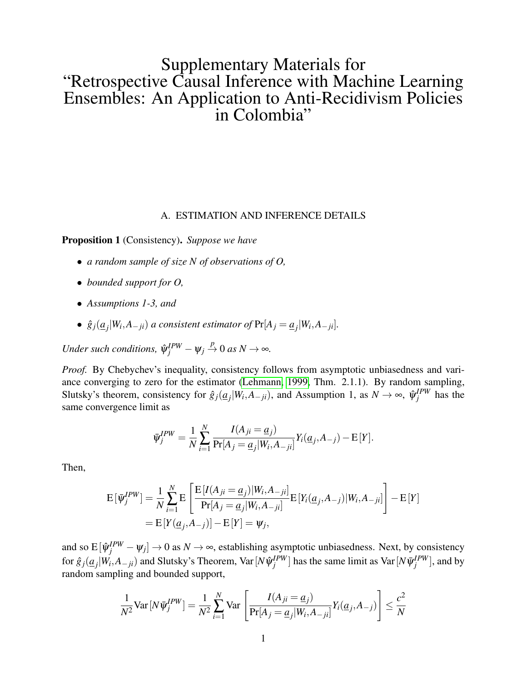## Supplementary Materials for "Retrospective Causal Inference with Machine Learning Ensembles: An Application to Anti-Recidivism Policies in Colombia"

#### A. ESTIMATION AND INFERENCE DETAILS

Proposition 1 (Consistency). *Suppose we have*

- *a random sample of size N of observations of O,*
- *bounded support for O,*
- *Assumptions 1-3, and*
- $\hat{g}_j(\underline{a}_j|W_i, A_{-ji})$  *a consistent estimator of*  $Pr[A_j = \underline{a}_j|W_i, A_{-ji}]$ .

*Under such conditions,*  $\hat{\psi}_j^{IPW} - \psi_j \stackrel{p}{\rightarrow} 0$  *as*  $N \rightarrow \infty$ *.* 

*Proof.* By Chebychev's inequality, consistency follows from asymptotic unbiasedness and variance converging to zero for the estimator [\(Lehmann, 1999,](#page-47-0) Thm. 2.1.1). By random sampling, Slutsky's theorem, consistency for  $\hat{g}_j(\underline{a}_j|W_i,A_{-ji})$ , and Assumption 1, as  $N \to \infty$ ,  $\hat{\psi}_j^{IPW}$  has the same convergence limit as

$$
\bar{\psi}_j^{IPW} = \frac{1}{N} \sum_{i=1}^N \frac{I(A_{ji} = a_j)}{\Pr[A_j = a_j | W_i, A_{-ji}]} Y_i(a_j, A_{-j}) - E[Y].
$$

Then,

$$
E[\overline{\psi}_{j}^{IPW}] = \frac{1}{N} \sum_{i=1}^{N} E\left[\frac{E[I(A_{ji} = a_{j})|W_{i}, A_{-ji}]}{\Pr[A_{j} = a_{j}|W_{i}, A_{-ji}]} E[Y_{i}(\underline{a}_{j}, A_{-j})|W_{i}, A_{-ji}]\right] - E[Y]
$$
  
=  $E[Y(\underline{a}_{j}, A_{-j})] - E[Y] = \psi_{j},$ 

and so  $E[\hat{\psi}_j^{IPW} - \psi_j] \to 0$  as  $N \to \infty$ , establishing asymptotic unbiasedness. Next, by consistency for  $\hat{g}_j(\underline{a}_j|W_i,A_{-ji})$  and Slutsky's Theorem, Var  $[N\hat{\psi}^{IPW}_j]$  has the same limit as Var  $[N\bar{\psi}^{IPW}_j]$ , and by random sampling and bounded support,

$$
\frac{1}{N^2} \text{Var}[N \bar{\psi}_j^{IPW}] = \frac{1}{N^2} \sum_{i=1}^N \text{Var}\left[\frac{I(A_{ji} = \underline{a}_j)}{\Pr[A_j = \underline{a}_j | W_i, A_{-ji}]} Y_i(\underline{a}_j, A_{-j})\right] \le \frac{c^2}{N}
$$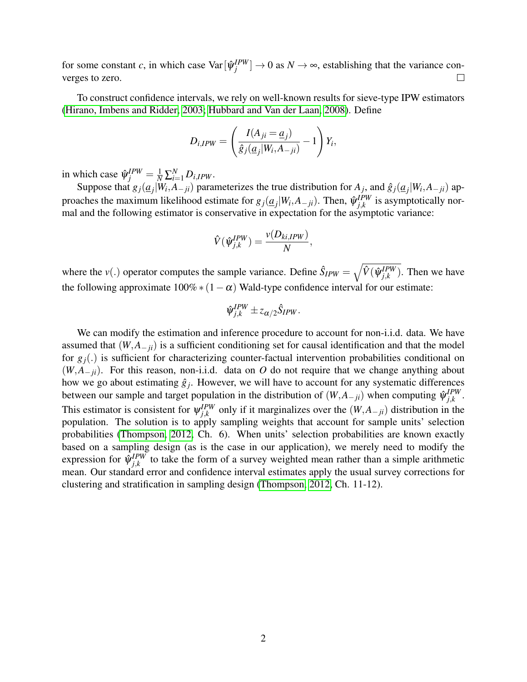for some constant *c*, in which case  $\text{Var}[\hat{\psi}_j^{IPW}] \to 0$  as  $N \to \infty$ , establishing that the variance converges to zero.  $\Box$ 

To construct confidence intervals, we rely on well-known results for sieve-type IPW estimators [\(Hirano, Imbens and Ridder, 2003;](#page-47-1) [Hubbard and Van der Laan, 2008\)](#page-39-3). Define

$$
D_{i,IPW} = \left(\frac{I(A_{ji} = a_j)}{\hat{g}_j(\underline{a}_j|W_i, A_{-ji})} - 1\right)Y_i,
$$

in which case  $\hat{\psi}_j^{IPW} = \frac{1}{N} \sum_{i=1}^N D_{i,IPW}$ .

Suppose that  $g_j(\underline{a}_j|W_i,A_{-ji})$  parameterizes the true distribution for  $A_j$ , and  $\hat{g}_j(\underline{a}_j|W_i,A_{-ji})$  approaches the maximum likelihood estimate for  $g_j(\underline{a}_j|W_i, A_{-ji})$ . Then,  $\hat{\psi}_{j,k}^{IPW}$  $j_{j,k}^{IPW}$  is asymptotically normal and the following estimator is conservative in expectation for the asymptotic variance:

$$
\hat{V}(\hat{\psi}_{j,k}^{IPW}) = \frac{v(D_{ki,IPW})}{N},
$$

where the *v*(.) operator computes the sample variance. Define  $\hat{S}_{IPW} = \sqrt{\hat{V}(\hat{\psi}_{i,k}^{IPW})}$  $_{j,k}^{IPW}$ ). Then we have the following approximate  $100\%*(1-\alpha)$  Wald-type confidence interval for our estimate:

$$
\hat{\psi}_{j,k}^{IPW} \pm z_{\alpha/2} \hat{S}_{IPW}.
$$

We can modify the estimation and inference procedure to account for non-i.i.d. data. We have assumed that  $(W, A_{-ji})$  is a sufficient conditioning set for causal identification and that the model for  $g_j(.)$  is sufficient for characterizing counter-factual intervention probabilities conditional on  $(W, A<sub>−ji</sub>)$ . For this reason, non-i.i.d. data on *O* do not require that we change anything about how we go about estimating  $\hat{g}_j$ . However, we will have to account for any systematic differences between our sample and target population in the distribution of  $(W, A<sub>-ji</sub>)$  when computing  $\hat{\psi}^{IPW}_{i,k}$ *j*,*k* . This estimator is consistent for  $\psi_{i,k}^{IPW}$  $j_{j,k}^{IPW}$  only if it marginalizes over the  $(W, A_{j}$  distribution in the population. The solution is to apply sampling weights that account for sample units' selection probabilities [\(Thompson, 2012,](#page-47-2) Ch. 6). When units' selection probabilities are known exactly based on a sampling design (as is the case in our application), we merely need to modify the expression for  $\hat{\psi}^{IPW}_{i,k}$  $j_{j,k}^{IPW}$  to take the form of a survey weighted mean rather than a simple arithmetic mean. Our standard error and confidence interval estimates apply the usual survey corrections for clustering and stratification in sampling design [\(Thompson, 2012,](#page-47-2) Ch. 11-12).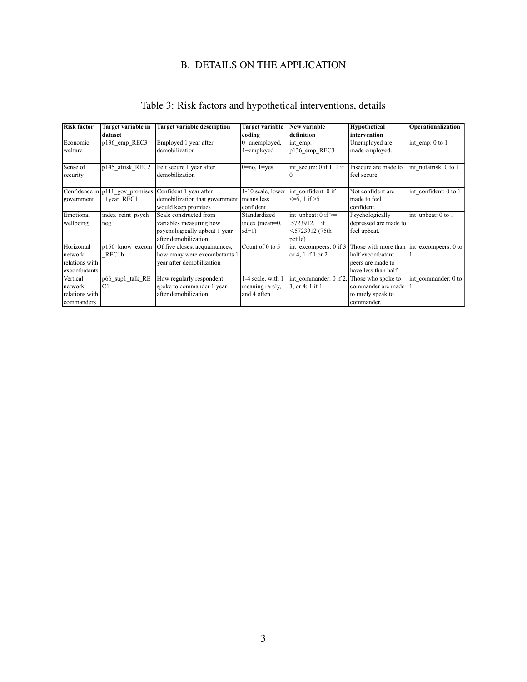### B. DETAILS ON THE APPLICATION

| <b>Risk factor</b> | Target variable in              | <b>Target variable description</b> | Target variable      | New variable                          | Hypothetical                                      | Operationalization    |
|--------------------|---------------------------------|------------------------------------|----------------------|---------------------------------------|---------------------------------------------------|-----------------------|
|                    | dataset                         |                                    | coding               | definition                            | intervention                                      |                       |
| Economic           | p136 emp REC3                   | Employed 1 year after              | 0=unemployed,        | int $emp: =$                          | Unemployed are                                    | int emp: 0 to 1       |
| welfare            |                                 | demobilization                     | 1=employed           | p136 emp REC3                         | made employed.                                    |                       |
| Sense of           | p145 atrisk REC2                | Felt secure 1 year after           | $0 = no$ , $1 = yes$ | $int$ secure: 0 if 1, 1 if            | Insecure are made to                              | int notatrisk: 0 to 1 |
| security           |                                 | demobilization                     |                      |                                       | feel secure.                                      |                       |
|                    | Confidence in p111 gov promises | Confident 1 year after             |                      | 1-10 scale, lower int confident: 0 if | Not confident are                                 | int confident: 0 to 1 |
| government         | lyear REC1                      | demobilization that government     | means less           | $\leq 5$ . 1 if $>5$                  | made to feel                                      |                       |
|                    |                                 | would keep promises                | confident            |                                       | confident.                                        |                       |
| Emotional          | index reint psych               | Scale constructed from             | Standardized         | int upbeat: $0$ if $\geq$             | Psychologically                                   | int upbeat: 0 to 1    |
| wellbeing          | neg                             | variables measuring how            | index (mean=0,       | .5723912, 1 if                        | depressed are made to                             |                       |
|                    |                                 | psychologically upbeat 1 year      | $sd=1)$              | $< 5723912$ (75th                     | feel upbeat.                                      |                       |
|                    |                                 | after demobilization               |                      | pctile)                               |                                                   |                       |
| Horizontal         | p150 know excom                 | Of five closest acquaintances,     | Count of 0 to 5      | int excompeers: 0 if 3                | Those with more than $\vert$ int excompeers: 0 to |                       |
| network            | REC1b                           | how many were excombatants 1       |                      | or 4, 1 if 1 or 2                     | half excombatant                                  |                       |
| relations with     |                                 | year after demobilization          |                      |                                       | peers are made to                                 |                       |
| excombatants       |                                 |                                    |                      |                                       | have less than half.                              |                       |
| Vertical           | p66 sup1 talk RE                | How regularly respondent           | 1-4 scale, with 1    | int commander: 0 if 2,                | Those who spoke to                                | int commander: 0 to   |
| network            | C <sub>1</sub>                  | spoke to commander 1 year          | meaning rarely,      | $3$ , or 4; 1 if 1                    | commander are made                                |                       |
| relations with     |                                 | after demobilization               | and 4 often          |                                       | to rarely speak to                                |                       |
| commanders         |                                 |                                    |                      |                                       | commander.                                        |                       |

## Table 3: Risk factors and hypothetical interventions, details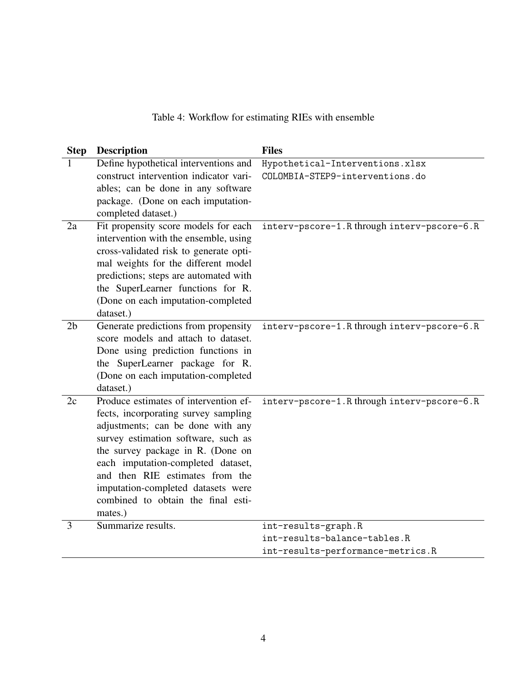### <span id="page-46-0"></span>Table 4: Workflow for estimating RIEs with ensemble

| <b>Step</b>    | <b>Description</b>                                                                                                                                                                                                                                                                                                                                             | <b>Files</b>                                                       |
|----------------|----------------------------------------------------------------------------------------------------------------------------------------------------------------------------------------------------------------------------------------------------------------------------------------------------------------------------------------------------------------|--------------------------------------------------------------------|
| 1              | Define hypothetical interventions and<br>construct intervention indicator vari-<br>ables; can be done in any software<br>package. (Done on each imputation-<br>completed dataset.)                                                                                                                                                                             | Hypothetical-Interventions.xlsx<br>COLOMBIA-STEP9-interventions.do |
| 2a             | Fit propensity score models for each<br>intervention with the ensemble, using<br>cross-validated risk to generate opti-<br>mal weights for the different model<br>predictions; steps are automated with<br>the SuperLearner functions for R.<br>(Done on each imputation-completed<br>dataset.)                                                                | interv-pscore-1.R through interv-pscore-6.R                        |
| 2 <sub>b</sub> | Generate predictions from propensity<br>score models and attach to dataset.<br>Done using prediction functions in<br>the SuperLearner package for R.<br>(Done on each imputation-completed<br>dataset.)                                                                                                                                                        | interv-pscore-1.R through interv-pscore-6.R                        |
| 2c             | Produce estimates of intervention ef-<br>fects, incorporating survey sampling<br>adjustments; can be done with any<br>survey estimation software, such as<br>the survey package in R. (Done on<br>each imputation-completed dataset,<br>and then RIE estimates from the<br>imputation-completed datasets were<br>combined to obtain the final esti-<br>mates.) | interv-pscore-1.R through interv-pscore-6.R                        |
| 3              | Summarize results.                                                                                                                                                                                                                                                                                                                                             | int-results-graph.R                                                |
|                |                                                                                                                                                                                                                                                                                                                                                                | int-results-balance-tables.R<br>int-results-performance-metrics.R  |
|                |                                                                                                                                                                                                                                                                                                                                                                |                                                                    |